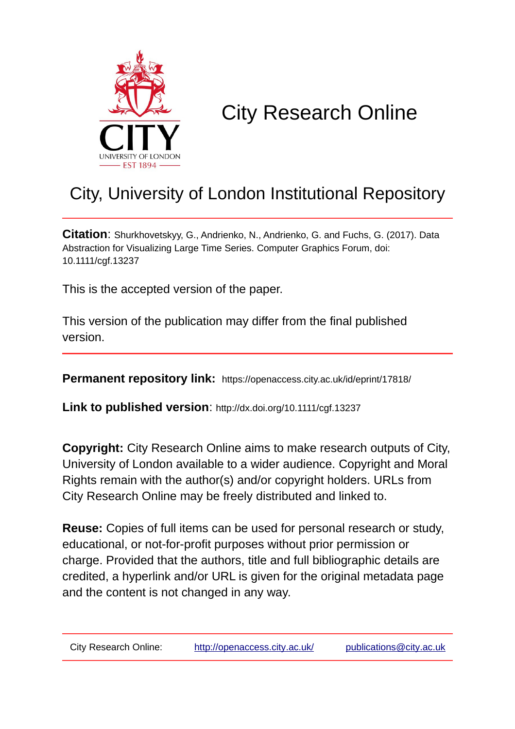

# City Research Online

## City, University of London Institutional Repository

**Citation**: Shurkhovetskyy, G., Andrienko, N., Andrienko, G. and Fuchs, G. (2017). Data Abstraction for Visualizing Large Time Series. Computer Graphics Forum, doi: 10.1111/cgf.13237

This is the accepted version of the paper.

This version of the publication may differ from the final published version.

**Permanent repository link:** https://openaccess.city.ac.uk/id/eprint/17818/

**Link to published version**: http://dx.doi.org/10.1111/cgf.13237

**Copyright:** City Research Online aims to make research outputs of City, University of London available to a wider audience. Copyright and Moral Rights remain with the author(s) and/or copyright holders. URLs from City Research Online may be freely distributed and linked to.

**Reuse:** Copies of full items can be used for personal research or study, educational, or not-for-profit purposes without prior permission or charge. Provided that the authors, title and full bibliographic details are credited, a hyperlink and/or URL is given for the original metadata page and the content is not changed in any way.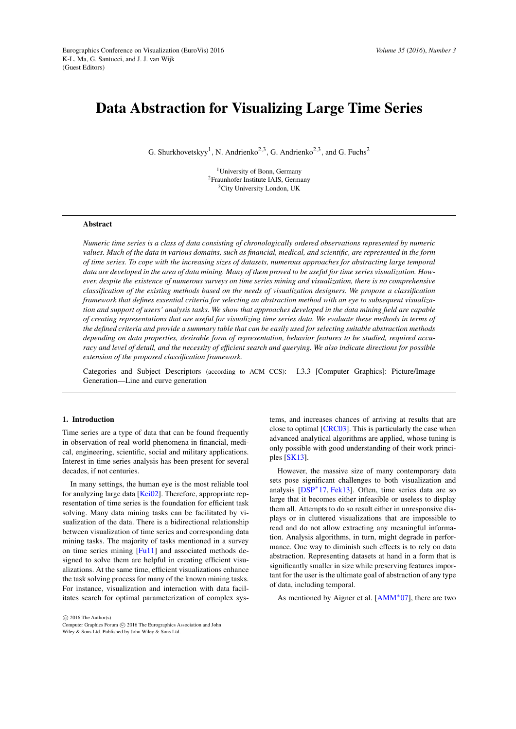### <span id="page-1-0"></span>Data Abstraction for Visualizing Large Time Series

G. Shurkhovetskyy<sup>1</sup>, N. Andrienko<sup>2,3</sup>, G. Andrienko<sup>2,3</sup>, and G. Fuchs<sup>2</sup>

<sup>1</sup>University of Bonn, Germany <sup>2</sup>Fraunhofer Institute IAIS, Germany <sup>3</sup>City University London, UK

#### Abstract

*Numeric time series is a class of data consisting of chronologically ordered observations represented by numeric values. Much of the data in various domains, such as financial, medical, and scientific, are represented in the form of time series. To cope with the increasing sizes of datasets, numerous approaches for abstracting large temporal data are developed in the area of data mining. Many of them proved to be useful for time series visualization. However, despite the existence of numerous surveys on time series mining and visualization, there is no comprehensive classification of the existing methods based on the needs of visualization designers. We propose a classification framework that defines essential criteria for selecting an abstraction method with an eye to subsequent visualization and support of users' analysis tasks. We show that approaches developed in the data mining field are capable of creating representations that are useful for visualizing time series data. We evaluate these methods in terms of the defined criteria and provide a summary table that can be easily used for selecting suitable abstraction methods depending on data properties, desirable form of representation, behavior features to be studied, required accuracy and level of detail, and the necessity of efficient search and querying. We also indicate directions for possible extension of the proposed classification framework.*

Categories and Subject Descriptors (according to ACM CCS): I.3.3 [Computer Graphics]: Picture/Image Generation—Line and curve generation

#### 1. Introduction

Time series are a type of data that can be found frequently in observation of real world phenomena in financial, medical, engineering, scientific, social and military applications. Interest in time series analysis has been present for several decades, if not centuries.

In many settings, the human eye is the most reliable tool for analyzing large data [\[Kei02\]](#page-20-0). Therefore, appropriate representation of time series is the foundation for efficient task solving. Many data mining tasks can be facilitated by visualization of the data. There is a bidirectional relationship between visualization of time series and corresponding data mining tasks. The majority of tasks mentioned in a survey on time series mining [\[Fu11\]](#page-19-0) and associated methods designed to solve them are helpful in creating efficient visualizations. At the same time, efficient visualizations enhance the task solving process for many of the known mining tasks. For instance, visualization and interaction with data facilitates search for optimal parameterization of complex systems, and increases chances of arriving at results that are close to optimal [\[CRC03\]](#page-18-0). This is particularly the case when advanced analytical algorithms are applied, whose tuning is only possible with good understanding of their work principles [\[SK13\]](#page-21-0).

However, the massive size of many contemporary data sets pose significant challenges to both visualization and analysis [\[DSP](#page-18-1)<sup>∗</sup> 17, [Fek13\]](#page-19-1). Often, time series data are so large that it becomes either infeasible or useless to display them all. Attempts to do so result either in unresponsive displays or in cluttered visualizations that are impossible to read and do not allow extracting any meaningful information. Analysis algorithms, in turn, might degrade in performance. One way to diminish such effects is to rely on data abstraction. Representing datasets at hand in a form that is significantly smaller in size while preserving features important for the user is the ultimate goal of abstraction of any type of data, including temporal.

As mentioned by Aigner et al. [\[AMM](#page-17-0)<sup>\*07</sup>], there are two

 $\odot$  2016 The Author(s)

Computer Graphics Forum  $\odot$  2016 The Eurographics Association and John Wiley & Sons Ltd. Published by John Wiley & Sons Ltd.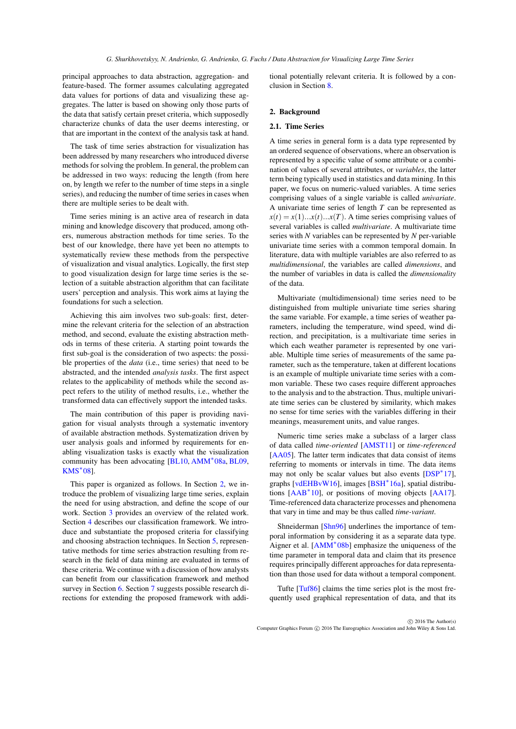<span id="page-2-1"></span>principal approaches to data abstraction, aggregation- and feature-based. The former assumes calculating aggregated data values for portions of data and visualizing these aggregates. The latter is based on showing only those parts of the data that satisfy certain preset criteria, which supposedly characterize chunks of data the user deems interesting, or that are important in the context of the analysis task at hand.

The task of time series abstraction for visualization has been addressed by many researchers who introduced diverse methods for solving the problem. In general, the problem can be addressed in two ways: reducing the length (from here on, by length we refer to the number of time steps in a single series), and reducing the number of time series in cases when there are multiple series to be dealt with.

Time series mining is an active area of research in data mining and knowledge discovery that produced, among others, numerous abstraction methods for time series. To the best of our knowledge, there have yet been no attempts to systematically review these methods from the perspective of visualization and visual analytics. Logically, the first step to good visualization design for large time series is the selection of a suitable abstraction algorithm that can facilitate users' perception and analysis. This work aims at laying the foundations for such a selection.

Achieving this aim involves two sub-goals: first, determine the relevant criteria for the selection of an abstraction method, and second, evaluate the existing abstraction methods in terms of these criteria. A starting point towards the first sub-goal is the consideration of two aspects: the possible properties of the *data* (i.e., time series) that need to be abstracted, and the intended *analysis tasks*. The first aspect relates to the applicability of methods while the second aspect refers to the utility of method results, i.e., whether the transformed data can effectively support the intended tasks.

The main contribution of this paper is providing navigation for visual analysts through a systematic inventory of available abstraction methods. Systematization driven by user analysis goals and informed by requirements for enabling visualization tasks is exactly what the visualization community has been advocating [\[BL10,](#page-17-1) [AMM](#page-17-2)<sup>∗</sup> 08a, [BL09,](#page-17-3) [KMS](#page-20-1)<sup>∗</sup> 08].

This paper is organized as follows. In Section [2,](#page-2-0) we introduce the problem of visualizing large time series, explain the need for using abstraction, and define the scope of our work. Section [3](#page-4-0) provides an overview of the related work. Section [4](#page-6-0) describes our classification framework. We introduce and substantiate the proposed criteria for classifying and choosing abstraction techniques. In Section [5,](#page-11-0) representative methods for time series abstraction resulting from research in the field of data mining are evaluated in terms of these criteria. We continue with a discussion of how analysts can benefit from our classification framework and method survey in Section [6.](#page-13-0) Section [7](#page-13-1) suggests possible research directions for extending the proposed framework with additional potentially relevant criteria. It is followed by a conclusion in Section [8.](#page-16-0)

#### <span id="page-2-0"></span>2. Background

#### 2.1. Time Series

A time series in general form is a data type represented by an ordered sequence of observations, where an observation is represented by a specific value of some attribute or a combination of values of several attributes, or *variables*, the latter term being typically used in statistics and data mining. In this paper, we focus on numeric-valued variables. A time series comprising values of a single variable is called *univariate*. A univariate time series of length *T* can be represented as  $x(t) = x(1)...x(t)...x(T)$ . A time series comprising values of several variables is called *multivariate*. A multivariate time series with *N* variables can be represented by *N* per-variable univariate time series with a common temporal domain. In literature, data with multiple variables are also referred to as *multidimensional*, the variables are called *dimensions*, and the number of variables in data is called the *dimensionality* of the data.

Multivariate (multidimensional) time series need to be distinguished from multiple univariate time series sharing the same variable. For example, a time series of weather parameters, including the temperature, wind speed, wind direction, and precipitation, is a multivariate time series in which each weather parameter is represented by one variable. Multiple time series of measurements of the same parameter, such as the temperature, taken at different locations is an example of multiple univariate time series with a common variable. These two cases require different approaches to the analysis and to the abstraction. Thus, multiple univariate time series can be clustered by similarity, which makes no sense for time series with the variables differing in their meanings, measurement units, and value ranges.

Numeric time series make a subclass of a larger class of data called *time-oriented* [\[AMST11\]](#page-17-4) or *time-referenced* [\[AA05\]](#page-17-5). The latter term indicates that data consist of items referring to moments or intervals in time. The data items may not only be scalar values but also events [\[DSP](#page-18-1)<sup>∗</sup> 17], graphs [\[vdEHBvW16\]](#page-21-1), images [\[BSH](#page-18-2)<sup>\*</sup>16a], spatial distributions [\[AAB](#page-17-6)<sup>∗</sup> 10], or positions of moving objects [\[AA17\]](#page-17-7). Time-referenced data characterize processes and phenomena that vary in time and may be thus called *time-variant*.

Shneiderman [\[Shn96\]](#page-21-2) underlines the importance of temporal information by considering it as a separate data type. Aigner et al. [\[AMM](#page-17-8)<sup>\*08b]</sup> emphasize the uniqueness of the time parameter in temporal data and claim that its presence requires principally different approaches for data representation than those used for data without a temporal component.

Tufte [\[Tuf86\]](#page-21-3) claims the time series plot is the most frequently used graphical representation of data, and that its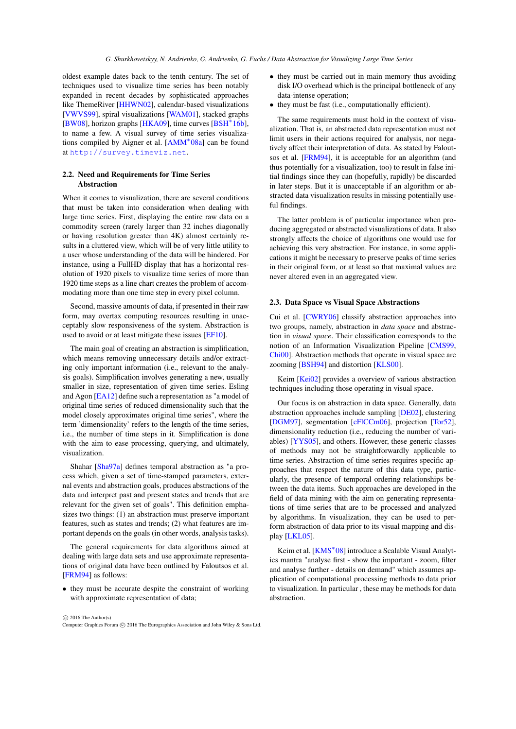<span id="page-3-0"></span>oldest example dates back to the tenth century. The set of techniques used to visualize time series has been notably expanded in recent decades by sophisticated approaches like ThemeRiver [\[HHWN02\]](#page-19-2), calendar-based visualizations [\[VWVS99\]](#page-21-4), spiral visualizations [\[WAM01\]](#page-21-5), stacked graphs [\[BW08\]](#page-18-3), horizon graphs [\[HKA09\]](#page-19-3), time curves [\[BSH](#page-18-4)<sup>\*</sup>16b], to name a few. A visual survey of time series visualizations compiled by Aigner et al. [\[AMM](#page-17-2)<sup>∗</sup> 08a] can be found at <http://survey.timeviz.net>.

#### 2.2. Need and Requirements for Time Series Abstraction

When it comes to visualization, there are several conditions that must be taken into consideration when dealing with large time series. First, displaying the entire raw data on a commodity screen (rarely larger than 32 inches diagonally or having resolution greater than 4K) almost certainly results in a cluttered view, which will be of very little utility to a user whose understanding of the data will be hindered. For instance, using a FullHD display that has a horizontal resolution of 1920 pixels to visualize time series of more than 1920 time steps as a line chart creates the problem of accommodating more than one time step in every pixel column.

Second, massive amounts of data, if presented in their raw form, may overtax computing resources resulting in unacceptably slow responsiveness of the system. Abstraction is used to avoid or at least mitigate these issues [\[EF10\]](#page-19-4).

The main goal of creating an abstraction is simplification, which means removing unnecessary details and/or extracting only important information (i.e., relevant to the analysis goals). Simplification involves generating a new, usually smaller in size, representation of given time series. Esling and Agon [\[EA12\]](#page-18-5) define such a representation as "a model of original time series of reduced dimensionality such that the model closely approximates original time series", where the term 'dimensionality' refers to the length of the time series, i.e., the number of time steps in it. Simplification is done with the aim to ease processing, querying, and ultimately, visualization.

Shahar [\[Sha97a\]](#page-21-6) defines temporal abstraction as "a process which, given a set of time-stamped parameters, external events and abstraction goals, produces abstractions of the data and interpret past and present states and trends that are relevant for the given set of goals". This definition emphasizes two things: (1) an abstraction must preserve important features, such as states and trends; (2) what features are important depends on the goals (in other words, analysis tasks).

The general requirements for data algorithms aimed at dealing with large data sets and use approximate representations of original data have been outlined by Faloutsos et al. [\[FRM94\]](#page-19-5) as follows:

• they must be accurate despite the constraint of working with approximate representation of data;

- they must be carried out in main memory thus avoiding disk I/O overhead which is the principal bottleneck of any data-intense operation;
- they must be fast (i.e., computationally efficient).

The same requirements must hold in the context of visualization. That is, an abstracted data representation must not limit users in their actions required for analysis, nor negatively affect their interpretation of data. As stated by Faloutsos et al. [\[FRM94\]](#page-19-5), it is acceptable for an algorithm (and thus potentially for a visualization, too) to result in false initial findings since they can (hopefully, rapidly) be discarded in later steps. But it is unacceptable if an algorithm or abstracted data visualization results in missing potentially useful findings.

The latter problem is of particular importance when producing aggregated or abstracted visualizations of data. It also strongly affects the choice of algorithms one would use for achieving this very abstraction. For instance, in some applications it might be necessary to preserve peaks of time series in their original form, or at least so that maximal values are never altered even in an aggregated view.

#### 2.3. Data Space vs Visual Space Abstractions

Cui et al. [\[CWRY06\]](#page-18-6) classify abstraction approaches into two groups, namely, abstraction in *data space* and abstraction in *visual space*. Their classification corresponds to the notion of an Information Visualization Pipeline [\[CMS99,](#page-18-7) [Chi00\]](#page-18-8). Abstraction methods that operate in visual space are zooming [\[BSH94\]](#page-18-9) and distortion [\[KLS00\]](#page-20-2).

Keim [\[Kei02\]](#page-20-0) provides a overview of various abstraction techniques including those operating in visual space.

Our focus is on abstraction in data space. Generally, data abstraction approaches include sampling [\[DE02\]](#page-18-10), clustering [\[DGM97\]](#page-18-11), segmentation [\[cFlCCm06\]](#page-18-12), projection [\[Tor52\]](#page-21-7), dimensionality reduction (i.e., reducing the number of variables) [\[YYS05\]](#page-22-0), and others. However, these generic classes of methods may not be straightforwardly applicable to time series. Abstraction of time series requires specific approaches that respect the nature of this data type, particularly, the presence of temporal ordering relationships between the data items. Such approaches are developed in the field of data mining with the aim on generating representations of time series that are to be processed and analyzed by algorithms. In visualization, they can be used to perform abstraction of data prior to its visual mapping and display [\[LKL05\]](#page-20-3).

Keim et al. [\[KMS](#page-20-1)<sup>\*08]</sup> introduce a Scalable Visual Analytics mantra "analyse first - show the important - zoom, filter and analyse further - details on demand" which assumes application of computational processing methods to data prior to visualization. In particular , these may be methods for data abstraction.

 $\odot$  2016 The Author(s)

Computer Graphics Forum  $\odot$  2016 The Eurographics Association and John Wiley & Sons Ltd.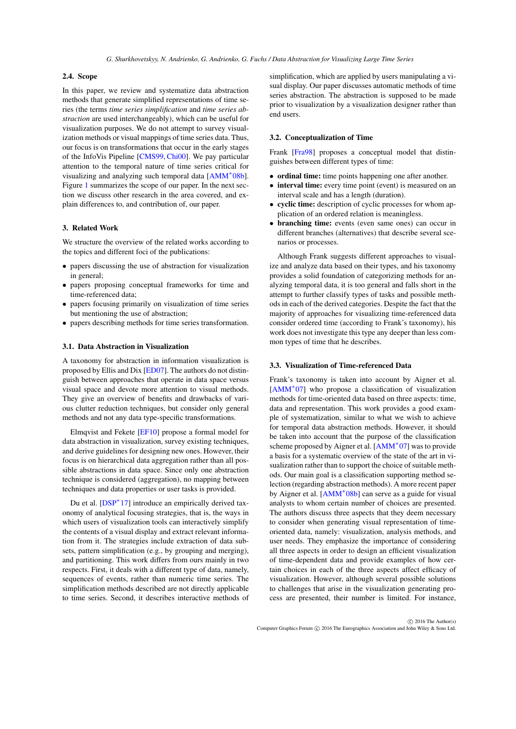#### <span id="page-4-1"></span>2.4. Scope

In this paper, we review and systematize data abstraction methods that generate simplified representations of time series (the terms *time series simplification* and *time series abstraction* are used interchangeably), which can be useful for visualization purposes. We do not attempt to survey visualization methods or visual mappings of time series data. Thus, our focus is on transformations that occur in the early stages of the InfoVis Pipeline [\[CMS99,](#page-18-7) [Chi00\]](#page-18-8). We pay particular attention to the temporal nature of time series critical for visualizing and analyzing such temporal data [\[AMM](#page-17-8)<sup>\*</sup>08b]. Figure [1](#page-5-0) summarizes the scope of our paper. In the next section we discuss other research in the area covered, and explain differences to, and contribution of, our paper.

#### <span id="page-4-0"></span>3. Related Work

We structure the overview of the related works according to the topics and different foci of the publications:

- papers discussing the use of abstraction for visualization in general;
- papers proposing conceptual frameworks for time and time-referenced data;
- papers focusing primarily on visualization of time series but mentioning the use of abstraction;
- papers describing methods for time series transformation.

#### 3.1. Data Abstraction in Visualization

A taxonomy for abstraction in information visualization is proposed by Ellis and Dix [\[ED07\]](#page-18-13). The authors do not distinguish between approaches that operate in data space versus visual space and devote more attention to visual methods. They give an overview of benefits and drawbacks of various clutter reduction techniques, but consider only general methods and not any data type-specific transformations.

Elmqvist and Fekete [\[EF10\]](#page-19-4) propose a formal model for data abstraction in visualization, survey existing techniques, and derive guidelines for designing new ones. However, their focus is on hierarchical data aggregation rather than all possible abstractions in data space. Since only one abstraction technique is considered (aggregation), no mapping between techniques and data properties or user tasks is provided.

Du et al. [\[DSP](#page-18-1)<sup>\*</sup>17] introduce an empirically derived taxonomy of analytical focusing strategies, that is, the ways in which users of visualization tools can interactively simplify the contents of a visual display and extract relevant information from it. The strategies include extraction of data subsets, pattern simplification (e.g., by grouping and merging), and partitioning. This work differs from ours mainly in two respects. First, it deals with a different type of data, namely, sequences of events, rather than numeric time series. The simplification methods described are not directly applicable to time series. Second, it describes interactive methods of simplification, which are applied by users manipulating a visual display. Our paper discusses automatic methods of time series abstraction. The abstraction is supposed to be made prior to visualization by a visualization designer rather than end users.

#### 3.2. Conceptualization of Time

Frank [\[Fra98\]](#page-19-6) proposes a conceptual model that distinguishes between different types of time:

- ordinal time: time points happening one after another.
- interval time: every time point (event) is measured on an interval scale and has a length (duration).
- cyclic time: description of cyclic processes for whom application of an ordered relation is meaningless.
- branching time: events (even same ones) can occur in different branches (alternatives) that describe several scenarios or processes.

Although Frank suggests different approaches to visualize and analyze data based on their types, and his taxonomy provides a solid foundation of categorizing methods for analyzing temporal data, it is too general and falls short in the attempt to further classify types of tasks and possible methods in each of the derived categories. Despite the fact that the majority of approaches for visualizing time-referenced data consider ordered time (according to Frank's taxonomy), his work does not investigate this type any deeper than less common types of time that he describes.

#### 3.3. Visualization of Time-referenced Data

Frank's taxonomy is taken into account by Aigner et al. [\[AMM](#page-17-0)<sup>∗</sup>07] who propose a classification of visualization methods for time-oriented data based on three aspects: time, data and representation. This work provides a good example of systematization, similar to what we wish to achieve for temporal data abstraction methods. However, it should be taken into account that the purpose of the classification scheme proposed by Aigner et al. [\[AMM](#page-17-0)<sup>\*07</sup>] was to provide a basis for a systematic overview of the state of the art in visualization rather than to support the choice of suitable methods. Our main goal is a classification supporting method selection (regarding abstraction methods). A more recent paper by Aigner et al. [\[AMM](#page-17-8)<sup>\*08b]</sup> can serve as a guide for visual analysts to whom certain number of choices are presented. The authors discuss three aspects that they deem necessary to consider when generating visual representation of timeoriented data, namely: visualization, analysis methods, and user needs. They emphasize the importance of considering all three aspects in order to design an efficient visualization of time-dependent data and provide examples of how certain choices in each of the three aspects affect efficacy of visualization. However, although several possible solutions to challenges that arise in the visualization generating process are presented, their number is limited. For instance,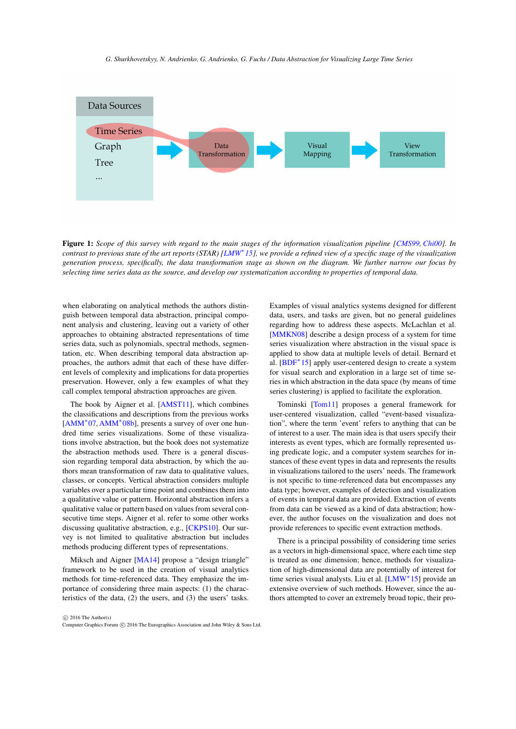<span id="page-5-1"></span>

<span id="page-5-0"></span>Figure 1: *Scope of this survey with regard to the main stages of the information visualization pipeline [\[CMS99,](#page-18-7) [Chi00\]](#page-18-8). In contrast to previous state of the art reports (STAR) [\[LMW](#page-20-4)*<sup>∗</sup> *15], we provide a refined view of a specific stage of the visualization generation process, specifically, the data transformation stage as shown on the diagram. We further narrow our focus by selecting time series data as the source, and develop our systematization according to properties of temporal data.*

when elaborating on analytical methods the authors distinguish between temporal data abstraction, principal component analysis and clustering, leaving out a variety of other approaches to obtaining abstracted representations of time series data, such as polynomials, spectral methods, segmentation, etc. When describing temporal data abstraction approaches, the authors admit that each of these have different levels of complexity and implications for data properties preservation. However, only a few examples of what they call complex temporal abstraction approaches are given.

The book by Aigner et al. [\[AMST11\]](#page-17-4), which combines the classifications and descriptions from the previous works [\[AMM](#page-17-0)<sup>\*</sup>07, [AMM](#page-17-8)<sup>\*</sup>08b], presents a survey of over one hundred time series visualizations. Some of these visualizations involve abstraction, but the book does not systematize the abstraction methods used. There is a general discussion regarding temporal data abstraction, by which the authors mean transformation of raw data to qualitative values, classes, or concepts. Vertical abstraction considers multiple variables over a particular time point and combines them into a qualitative value or pattern. Horizontal abstraction infers a qualitative value or pattern based on values from several consecutive time steps. Aigner et al. refer to some other works discussing qualitative abstraction, e.g., [\[CKPS10\]](#page-18-14). Our survey is not limited to qualitative abstraction but includes methods producing different types of representations.

Miksch and Aigner [\[MA14\]](#page-20-5) propose a "design triangle" framework to be used in the creation of visual analytics methods for time-referenced data. They emphasize the importance of considering three main aspects: (1) the characteristics of the data, (2) the users, and (3) the users' tasks.

Examples of visual analytics systems designed for different data, users, and tasks are given, but no general guidelines regarding how to address these aspects. McLachlan et al. [\[MMKN08\]](#page-20-6) describe a design process of a system for time series visualization where abstraction in the visual space is applied to show data at multiple levels of detail. Bernard et al. [\[BDF](#page-17-9)<sup>\*</sup>15] apply user-centered design to create a system for visual search and exploration in a large set of time series in which abstraction in the data space (by means of time series clustering) is applied to facilitate the exploration.

Tominski [\[Tom11\]](#page-21-8) proposes a general framework for user-centered visualization, called "event-based visualization", where the term 'event' refers to anything that can be of interest to a user. The main idea is that users specify their interests as event types, which are formally represented using predicate logic, and a computer system searches for instances of these event types in data and represents the results in visualizations tailored to the users' needs. The framework is not specific to time-referenced data but encompasses any data type; however, examples of detection and visualization of events in temporal data are provided. Extraction of events from data can be viewed as a kind of data abstraction; however, the author focuses on the visualization and does not provide references to specific event extraction methods.

There is a principal possibility of considering time series as a vectors in high-dimensional space, where each time step is treated as one dimension; hence, methods for visualization of high-dimensional data are potentially of interest for time series visual analysts. Liu et al. [\[LMW](#page-20-4)<sup>∗</sup> 15] provide an extensive overview of such methods. However, since the authors attempted to cover an extremely broad topic, their pro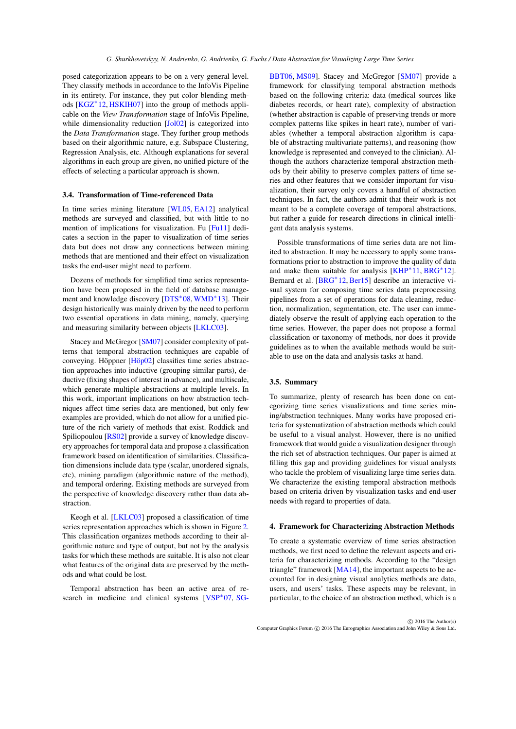<span id="page-6-1"></span>posed categorization appears to be on a very general level. They classify methods in accordance to the InfoVis Pipeline in its entirety. For instance, they put color blending methods [\[KGZ](#page-20-7)<sup>∗</sup> 12, [HSKIH07\]](#page-19-7) into the group of methods applicable on the *View Transformation* stage of InfoVis Pipeline, while dimensionality reduction [\[Jol02\]](#page-19-8) is categorized into the *Data Transformation* stage. They further group methods based on their algorithmic nature, e.g. Subspace Clustering, Regression Analysis, etc. Although explanations for several algorithms in each group are given, no unified picture of the effects of selecting a particular approach is shown.

#### 3.4. Transformation of Time-referenced Data

In time series mining literature [\[WL05,](#page-21-9) [EA12\]](#page-18-5) analytical methods are surveyed and classified, but with little to no mention of implications for visualization. Fu [\[Fu11\]](#page-19-0) dedicates a section in the paper to visualization of time series data but does not draw any connections between mining methods that are mentioned and their effect on visualization tasks the end-user might need to perform.

Dozens of methods for simplified time series representation have been proposed in the field of database manage-ment and knowledge discovery [\[DTS](#page-18-15)<sup>\*</sup>08, [WMD](#page-21-10)<sup>\*</sup>13]. Their design historically was mainly driven by the need to perform two essential operations in data mining, namely, querying and measuring similarity between objects [\[LKLC03\]](#page-20-8).

Stacey and McGregor [\[SM07\]](#page-21-11) consider complexity of patterns that temporal abstraction techniques are capable of conveying. Höppner [\[Höp02\]](#page-19-9) classifies time series abstraction approaches into inductive (grouping similar parts), deductive (fixing shapes of interest in advance), and multiscale, which generate multiple abstractions at multiple levels. In this work, important implications on how abstraction techniques affect time series data are mentioned, but only few examples are provided, which do not allow for a unified picture of the rich variety of methods that exist. Roddick and Spiliopoulou [\[RS02\]](#page-21-12) provide a survey of knowledge discovery approaches for temporal data and propose a classification framework based on identification of similarities. Classification dimensions include data type (scalar, unordered signals, etc), mining paradigm (algorithmic nature of the method), and temporal ordering. Existing methods are surveyed from the perspective of knowledge discovery rather than data abstraction.

Keogh et al. [\[LKLC03\]](#page-20-8) proposed a classification of time series representation approaches which is shown in Figure [2.](#page-7-0) This classification organizes methods according to their algorithmic nature and type of output, but not by the analysis tasks for which these methods are suitable. It is also not clear what features of the original data are preserved by the methods and what could be lost.

Temporal abstraction has been an active area of re-search in medicine and clinical systems [\[VSP](#page-21-13)<sup>\*07</sup>, [SG-](#page-21-14)

[BBT06,](#page-21-14) [MS09\]](#page-20-9). Stacey and McGregor [\[SM07\]](#page-21-11) provide a framework for classifying temporal abstraction methods based on the following criteria: data (medical sources like diabetes records, or heart rate), complexity of abstraction (whether abstraction is capable of preserving trends or more complex patterns like spikes in heart rate), number of variables (whether a temporal abstraction algorithm is capable of abstracting multivariate patterns), and reasoning (how knowledge is represented and conveyed to the clinician). Although the authors characterize temporal abstraction methods by their ability to preserve complex patters of time series and other features that we consider important for visualization, their survey only covers a handful of abstraction techniques. In fact, the authors admit that their work is not meant to be a complete coverage of temporal abstractions, but rather a guide for research directions in clinical intelligent data analysis systems.

Possible transformations of time series data are not limited to abstraction. It may be necessary to apply some transformations prior to abstraction to improve the quality of data and make them suitable for analysis [\[KHP](#page-20-10)<sup>∗</sup> 11, [BRG](#page-18-16)<sup>∗</sup> 12]. Bernard et al. [\[BRG](#page-18-16)<sup>\*</sup>12, [Ber15\]](#page-17-10) describe an interactive visual system for composing time series data preprocessing pipelines from a set of operations for data cleaning, reduction, normalization, segmentation, etc. The user can immediately observe the result of applying each operation to the time series. However, the paper does not propose a formal classification or taxonomy of methods, nor does it provide guidelines as to when the available methods would be suitable to use on the data and analysis tasks at hand.

#### 3.5. Summary

To summarize, plenty of research has been done on categorizing time series visualizations and time series mining/abstraction techniques. Many works have proposed criteria for systematization of abstraction methods which could be useful to a visual analyst. However, there is no unified framework that would guide a visualization designer through the rich set of abstraction techniques. Our paper is aimed at filling this gap and providing guidelines for visual analysts who tackle the problem of visualizing large time series data. We characterize the existing temporal abstraction methods based on criteria driven by visualization tasks and end-user needs with regard to properties of data.

#### <span id="page-6-0"></span>4. Framework for Characterizing Abstraction Methods

To create a systematic overview of time series abstraction methods, we first need to define the relevant aspects and criteria for characterizing methods. According to the "design triangle" framework [\[MA14\]](#page-20-5), the important aspects to be accounted for in designing visual analytics methods are data, users, and users' tasks. These aspects may be relevant, in particular, to the choice of an abstraction method, which is a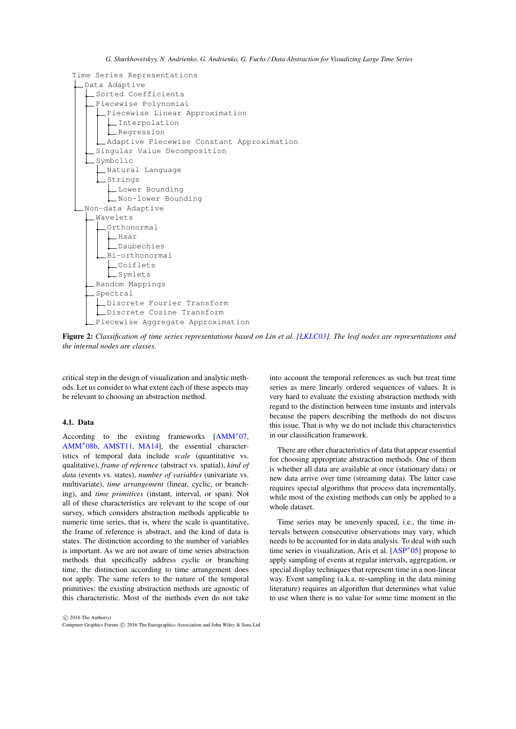<span id="page-7-1"></span>

<span id="page-7-0"></span>Figure 2: *Classification of time series representations based on Lin et al. [\[LKLC03\]](#page-20-8)*. The leaf nodes are representations and *the internal nodes are classes.*

critical step in the design of visualization and analytic methods. Let us consider to what extent each of these aspects may be relevant to choosing an abstraction method.

#### 4.1. Data

According to the existing frameworks [\[AMM](#page-17-0)<sup>\*</sup>07, [AMM](#page-17-8)<sup>∗</sup> 08b, [AMST11,](#page-17-4) [MA14\]](#page-20-5), the essential characteristics of temporal data include *scale* (quantitative vs. qualitative), *frame of reference* (abstract vs. spatial), *kind of data* (events vs. states), *number of variables* (univariate vs. multivariate), *time arrangement* (linear, cyclic, or branching), and *time primitives* (instant, interval, or span). Not all of these characteristics are relevant to the scope of our survey, which considers abstraction methods applicable to numeric time series, that is, where the scale is quantitative, the frame of reference is abstract, and the kind of data is states. The distinction according to the number of variables is important. As we are not aware of time series abstraction methods that specifically address cyclic or branching time, the distinction according to time arrangement does not apply. The same refers to the nature of the temporal primitives: the existing abstraction methods are agnostic of this characteristic. Most of the methods even do not take

into account the temporal references as such but treat time series as mere linearly ordered sequences of values. It is very hard to evaluate the existing abstraction methods with regard to the distinction between time instants and intervals because the papers describing the methods do not discuss this issue. That is why we do not include this characteristics in our classification framework.

There are other characteristics of data that appear essential for choosing appropriate abstraction methods. One of them is whether all data are available at once (stationary data) or new data arrive over time (streaming data). The latter case requires special algorithms that process data incrementally, while most of the existing methods can only be applied to a whole dataset.

Time series may be unevenly spaced, i.e., the time intervals between consecutive observations may vary, which needs to be accounted for in data analysis. To deal with such time series in visualization, Aris et al. [\[ASP](#page-17-11)<sup>∗</sup> 05] propose to apply sampling of events at regular intervals, aggregation, or special display techniques that represent time in a non-linear way. Event sampling (a.k.a. re-sampling in the data mining literature) requires an algorithm that determines what value to use when there is no value for some time moment in the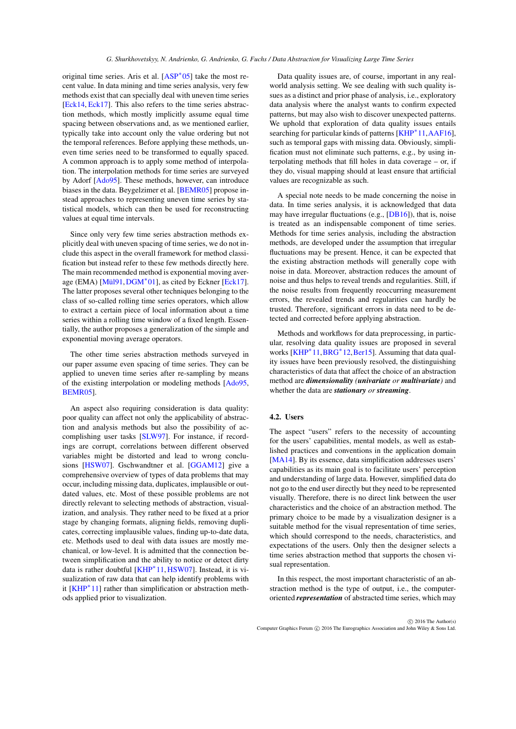<span id="page-8-0"></span>original time series. Aris et al.  $[ASP^*05]$  $[ASP^*05]$  take the most recent value. In data mining and time series analysis, very few methods exist that can specially deal with uneven time series [\[Eck14,](#page-18-17) [Eck17\]](#page-18-18). This also refers to the time series abstraction methods, which mostly implicitly assume equal time spacing between observations and, as we mentioned earlier, typically take into account only the value ordering but not the temporal references. Before applying these methods, uneven time series need to be transformed to equally spaced. A common approach is to apply some method of interpolation. The interpolation methods for time series are surveyed by Adorf [\[Ado95\]](#page-17-12). These methods, however, can introduce biases in the data. Beygelzimer et al. [\[BEMR05\]](#page-17-13) propose instead approaches to representing uneven time series by statistical models, which can then be used for reconstructing values at equal time intervals.

Since only very few time series abstraction methods explicitly deal with uneven spacing of time series, we do not include this aspect in the overall framework for method classification but instead refer to these few methods directly here. The main recommended method is exponential moving aver-age (EMA) [\[Mül91,](#page-20-11) [DGM](#page-18-19)<sup>\*</sup>01], as cited by Eckner [\[Eck17\]](#page-18-18). The latter proposes several other techniques belonging to the class of so-called rolling time series operators, which allow to extract a certain piece of local information about a time series within a rolling time window of a fixed length. Essentially, the author proposes a generalization of the simple and exponential moving average operators.

The other time series abstraction methods surveyed in our paper assume even spacing of time series. They can be applied to uneven time series after re-sampling by means of the existing interpolation or modeling methods [\[Ado95,](#page-17-12) [BEMR05\]](#page-17-13).

An aspect also requiring consideration is data quality: poor quality can affect not only the applicability of abstraction and analysis methods but also the possibility of accomplishing user tasks [\[SLW97\]](#page-21-15). For instance, if recordings are corrupt, correlations between different observed variables might be distorted and lead to wrong conclusions [\[HSW07\]](#page-19-10). Gschwandtner et al. [\[GGAM12\]](#page-19-11) give a comprehensive overview of types of data problems that may occur, including missing data, duplicates, implausible or outdated values, etc. Most of these possible problems are not directly relevant to selecting methods of abstraction, visualization, and analysis. They rather need to be fixed at a prior stage by changing formats, aligning fields, removing duplicates, correcting implausible values, finding up-to-date data, etc. Methods used to deal with data issues are mostly mechanical, or low-level. It is admitted that the connection between simplification and the ability to notice or detect dirty data is rather doubtful [\[KHP](#page-20-10)<sup>∗</sup> 11, [HSW07\]](#page-19-10). Instead, it is visualization of raw data that can help identify problems with it [\[KHP](#page-20-10)<sup>∗</sup> 11] rather than simplification or abstraction methods applied prior to visualization.

Data quality issues are, of course, important in any realworld analysis setting. We see dealing with such quality issues as a distinct and prior phase of analysis, i.e., exploratory data analysis where the analyst wants to confirm expected patterns, but may also wish to discover unexpected patterns. We uphold that exploration of data quality issues entails searching for particular kinds of patterns [\[KHP](#page-20-10)<sup>\*</sup>11[,AAF16\]](#page-17-14), such as temporal gaps with missing data. Obviously, simplification must not eliminate such patterns, e.g., by using interpolating methods that fill holes in data coverage – or, if they do, visual mapping should at least ensure that artificial values are recognizable as such.

A special note needs to be made concerning the noise in data. In time series analysis, it is acknowledged that data may have irregular fluctuations (e.g., [\[DB16\]](#page-18-20)), that is, noise is treated as an indispensable component of time series. Methods for time series analysis, including the abstraction methods, are developed under the assumption that irregular fluctuations may be present. Hence, it can be expected that the existing abstraction methods will generally cope with noise in data. Moreover, abstraction reduces the amount of noise and thus helps to reveal trends and regularities. Still, if the noise results from frequently reoccurring measurement errors, the revealed trends and regularities can hardly be trusted. Therefore, significant errors in data need to be detected and corrected before applying abstraction.

Methods and workflows for data preprocessing, in particular, resolving data quality issues are proposed in several works [\[KHP](#page-20-10)<sup>\*</sup>11, [BRG](#page-18-16)<sup>\*</sup>12, [Ber15\]](#page-17-10). Assuming that data quality issues have been previously resolved, the distinguishing characteristics of data that affect the choice of an abstraction method are *dimensionality (univariate or multivariate)* and whether the data are *stationary or streaming*.

#### 4.2. Users

The aspect "users" refers to the necessity of accounting for the users' capabilities, mental models, as well as established practices and conventions in the application domain [\[MA14\]](#page-20-5). By its essence, data simplification addresses users' capabilities as its main goal is to facilitate users' perception and understanding of large data. However, simplified data do not go to the end user directly but they need to be represented visually. Therefore, there is no direct link between the user characteristics and the choice of an abstraction method. The primary choice to be made by a visualization designer is a suitable method for the visual representation of time series, which should correspond to the needs, characteristics, and expectations of the users. Only then the designer selects a time series abstraction method that supports the chosen visual representation.

In this respect, the most important characteristic of an abstraction method is the type of output, i.e., the computeroriented *representation* of abstracted time series, which may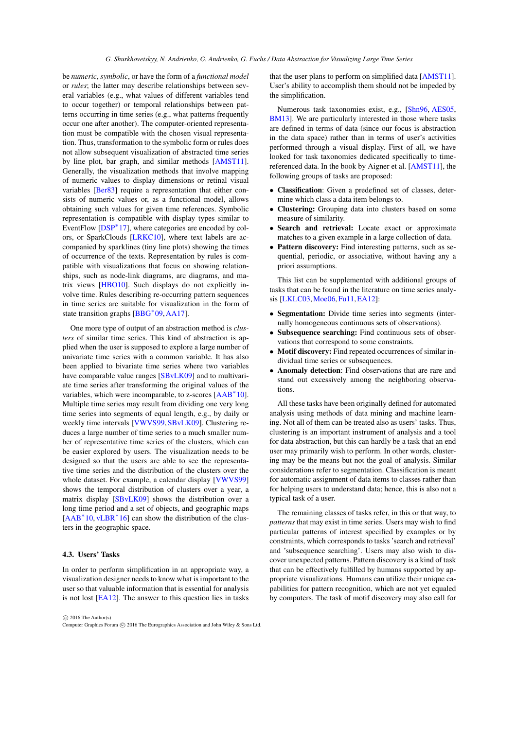<span id="page-9-0"></span>be *numeric*, *symbolic*, or have the form of a *functional model* or *rules*; the latter may describe relationships between several variables (e.g., what values of different variables tend to occur together) or temporal relationships between patterns occurring in time series (e.g., what patterns frequently occur one after another). The computer-oriented representation must be compatible with the chosen visual representation. Thus, transformation to the symbolic form or rules does not allow subsequent visualization of abstracted time series by line plot, bar graph, and similar methods [\[AMST11\]](#page-17-4). Generally, the visualization methods that involve mapping of numeric values to display dimensions or retinal visual variables [\[Ber83\]](#page-17-15) require a representation that either consists of numeric values or, as a functional model, allows obtaining such values for given time references. Symbolic representation is compatible with display types similar to EventFlow [\[DSP](#page-18-1)<sup>\*</sup>17], where categories are encoded by colors, or SparkClouds [\[LRKC10\]](#page-20-12), where text labels are accompanied by sparklines (tiny line plots) showing the times of occurrence of the texts. Representation by rules is compatible with visualizations that focus on showing relationships, such as node-link diagrams, arc diagrams, and matrix views [\[HBO10\]](#page-19-12). Such displays do not explicitly involve time. Rules describing re-occurring pattern sequences in time series are suitable for visualization in the form of state transition graphs [\[BBG](#page-17-16)<sup>\*</sup>09, AA17].

One more type of output of an abstraction method is *clusters* of similar time series. This kind of abstraction is applied when the user is supposed to explore a large number of univariate time series with a common variable. It has also been applied to bivariate time series where two variables have comparable value ranges [\[SBvLK09\]](#page-21-16) and to multivariate time series after transforming the original values of the variables, which were incomparable, to z-scores [\[AAB](#page-17-6)<sup>\*</sup>10]. Multiple time series may result from dividing one very long time series into segments of equal length, e.g., by daily or weekly time intervals [\[VWVS99,](#page-21-4) [SBvLK09\]](#page-21-16). Clustering reduces a large number of time series to a much smaller number of representative time series of the clusters, which can be easier explored by users. The visualization needs to be designed so that the users are able to see the representative time series and the distribution of the clusters over the whole dataset. For example, a calendar display [\[VWVS99\]](#page-21-4) shows the temporal distribution of clusters over a year, a matrix display [\[SBvLK09\]](#page-21-16) shows the distribution over a long time period and a set of objects, and geographic maps [\[AAB](#page-17-6)<sup>\*</sup> 10, [vLBR](#page-21-17)<sup>\*</sup> 16] can show the distribution of the clusters in the geographic space.

#### 4.3. Users' Tasks

In order to perform simplification in an appropriate way, a visualization designer needs to know what is important to the user so that valuable information that is essential for analysis is not lost [\[EA12\]](#page-18-5). The answer to this question lies in tasks that the user plans to perform on simplified data [\[AMST11\]](#page-17-4). User's ability to accomplish them should not be impeded by the simplification.

Numerous task taxonomies exist, e.g., [\[Shn96,](#page-21-2) [AES05,](#page-17-17) [BM13\]](#page-18-21). We are particularly interested in those where tasks are defined in terms of data (since our focus is abstraction in the data space) rather than in terms of user's activities performed through a visual display. First of all, we have looked for task taxonomies dedicated specifically to timereferenced data. In the book by Aigner et al. [\[AMST11\]](#page-17-4), the following groups of tasks are proposed:

- Classification: Given a predefined set of classes, determine which class a data item belongs to.
- Clustering: Grouping data into clusters based on some measure of similarity.
- Search and retrieval: Locate exact or approximate matches to a given example in a large collection of data.
- Pattern discovery: Find interesting patterns, such as sequential, periodic, or associative, without having any a priori assumptions.

This list can be supplemented with additional groups of tasks that can be found in the literature on time series analysis [\[LKLC03,](#page-20-8)[Moe06,](#page-20-13)[Fu11,](#page-19-0)[EA12\]](#page-18-5):

- Segmentation: Divide time series into segments (internally homogeneous continuous sets of observations).
- Subsequence searching: Find continuous sets of observations that correspond to some constraints.
- Motif discovery: Find repeated occurrences of similar individual time series or subsequences.
- Anomaly detection: Find observations that are rare and stand out excessively among the neighboring observations.

All these tasks have been originally defined for automated analysis using methods of data mining and machine learning. Not all of them can be treated also as users' tasks. Thus, clustering is an important instrument of analysis and a tool for data abstraction, but this can hardly be a task that an end user may primarily wish to perform. In other words, clustering may be the means but not the goal of analysis. Similar considerations refer to segmentation. Classification is meant for automatic assignment of data items to classes rather than for helping users to understand data; hence, this is also not a typical task of a user.

The remaining classes of tasks refer, in this or that way, to *patterns* that may exist in time series. Users may wish to find particular patterns of interest specified by examples or by constraints, which corresponds to tasks 'search and retrieval' and 'subsequence searching'. Users may also wish to discover unexpected patterns. Pattern discovery is a kind of task that can be effectively fulfilled by humans supported by appropriate visualizations. Humans can utilize their unique capabilities for pattern recognition, which are not yet equaled by computers. The task of motif discovery may also call for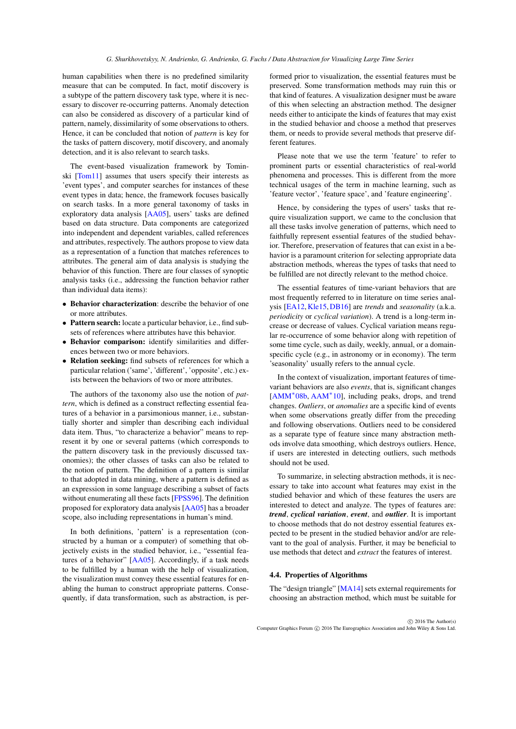<span id="page-10-0"></span>human capabilities when there is no predefined similarity measure that can be computed. In fact, motif discovery is a subtype of the pattern discovery task type, where it is necessary to discover re-occurring patterns. Anomaly detection can also be considered as discovery of a particular kind of pattern, namely, dissimilarity of some observations to others. Hence, it can be concluded that notion of *pattern* is key for the tasks of pattern discovery, motif discovery, and anomaly detection, and it is also relevant to search tasks.

The event-based visualization framework by Tominski [\[Tom11\]](#page-21-8) assumes that users specify their interests as 'event types', and computer searches for instances of these event types in data; hence, the framework focuses basically on search tasks. In a more general taxonomy of tasks in exploratory data analysis [\[AA05\]](#page-17-5), users' tasks are defined based on data structure. Data components are categorized into independent and dependent variables, called references and attributes, respectively. The authors propose to view data as a representation of a function that matches references to attributes. The general aim of data analysis is studying the behavior of this function. There are four classes of synoptic analysis tasks (i.e., addressing the function behavior rather than individual data items):

- Behavior characterization: describe the behavior of one or more attributes.
- Pattern search: locate a particular behavior, i.e., find subsets of references where attributes have this behavior.
- Behavior comparison: identify similarities and differences between two or more behaviors.
- Relation seeking: find subsets of references for which a particular relation ('same', 'different', 'opposite', etc.) exists between the behaviors of two or more attributes.

The authors of the taxonomy also use the notion of *pattern*, which is defined as a construct reflecting essential features of a behavior in a parsimonious manner, i.e., substantially shorter and simpler than describing each individual data item. Thus, "to characterize a behavior" means to represent it by one or several patterns (which corresponds to the pattern discovery task in the previously discussed taxonomies); the other classes of tasks can also be related to the notion of pattern. The definition of a pattern is similar to that adopted in data mining, where a pattern is defined as an expression in some language describing a subset of facts without enumerating all these facts [\[FPSS96\]](#page-19-13). The definition proposed for exploratory data analysis [\[AA05\]](#page-17-5) has a broader scope, also including representations in human's mind.

In both definitions, 'pattern' is a representation (constructed by a human or a computer) of something that objectively exists in the studied behavior, i.e., "essential features of a behavior" [\[AA05\]](#page-17-5). Accordingly, if a task needs to be fulfilled by a human with the help of visualization, the visualization must convey these essential features for enabling the human to construct appropriate patterns. Consequently, if data transformation, such as abstraction, is per-

formed prior to visualization, the essential features must be preserved. Some transformation methods may ruin this or that kind of features. A visualization designer must be aware of this when selecting an abstraction method. The designer needs either to anticipate the kinds of features that may exist in the studied behavior and choose a method that preserves them, or needs to provide several methods that preserve different features.

Please note that we use the term 'feature' to refer to prominent parts or essential characteristics of real-world phenomena and processes. This is different from the more technical usages of the term in machine learning, such as 'feature vector', 'feature space', and 'feature engineering'.

Hence, by considering the types of users' tasks that require visualization support, we came to the conclusion that all these tasks involve generation of patterns, which need to faithfully represent essential features of the studied behavior. Therefore, preservation of features that can exist in a behavior is a paramount criterion for selecting appropriate data abstraction methods, whereas the types of tasks that need to be fulfilled are not directly relevant to the method choice.

The essential features of time-variant behaviors that are most frequently referred to in literature on time series analysis [\[EA12,](#page-18-5) [Kle15,](#page-20-14) [DB16\]](#page-18-20) are *trends* and *seasonality* (a.k.a. *periodicity* or *cyclical variation*). A trend is a long-term increase or decrease of values. Cyclical variation means regular re-occurrence of some behavior along with repetition of some time cycle, such as daily, weekly, annual, or a domainspecific cycle (e.g., in astronomy or in economy). The term 'seasonality' usually refers to the annual cycle.

In the context of visualization, important features of timevariant behaviors are also *events*, that is, significant changes [\[AMM](#page-17-8)<sup>∗</sup> 08b, [AAM](#page-17-18)<sup>∗</sup> 10], including peaks, drops, and trend changes. *Outliers*, or *anomalies* are a specific kind of events when some observations greatly differ from the preceding and following observations. Outliers need to be considered as a separate type of feature since many abstraction methods involve data smoothing, which destroys outliers. Hence, if users are interested in detecting outliers, such methods should not be used.

To summarize, in selecting abstraction methods, it is necessary to take into account what features may exist in the studied behavior and which of these features the users are interested to detect and analyze. The types of features are: *trend*, *cyclical variation*, *event*, and *outlier*. It is important to choose methods that do not destroy essential features expected to be present in the studied behavior and/or are relevant to the goal of analysis. Further, it may be beneficial to use methods that detect and *extract* the features of interest.

#### 4.4. Properties of Algorithms

The "design triangle" [\[MA14\]](#page-20-5) sets external requirements for choosing an abstraction method, which must be suitable for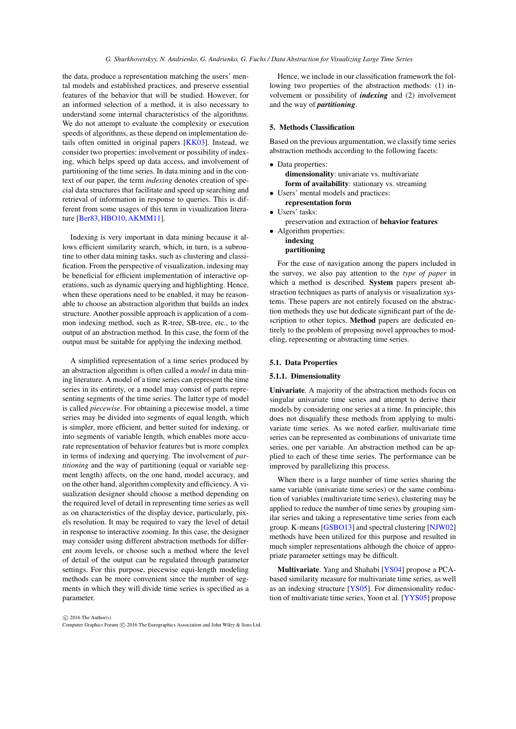<span id="page-11-1"></span>the data, produce a representation matching the users' mental models and established practices, and preserve essential features of the behavior that will be studied. However, for an informed selection of a method, it is also necessary to understand some internal characteristics of the algorithms. We do not attempt to evaluate the complexity or execution speeds of algorithms, as these depend on implementation details often omitted in original papers [\[KK03\]](#page-20-15). Instead, we consider two properties: involvement or possibility of indexing, which helps speed up data access, and involvement of partitioning of the time series. In data mining and in the context of our paper, the term *indexing* denotes creation of special data structures that facilitate and speed up searching and retrieval of information in response to queries. This is different from some usages of this term in visualization literature [\[Ber83,](#page-17-15)[HBO10,](#page-19-12)[AKMM11\]](#page-17-19).

Indexing is very important in data mining because it allows efficient similarity search, which, in turn, is a subroutine to other data mining tasks, such as clustering and classification. From the perspective of visualization, indexing may be beneficial for efficient implementation of interactive operations, such as dynamic querying and highlighting. Hence, when these operations need to be enabled, it may be reasonable to choose an abstraction algorithm that builds an index structure. Another possible approach is application of a common indexing method, such as R-tree, SB-tree, etc., to the output of an abstraction method. In this case, the form of the output must be suitable for applying the indexing method.

A simplified representation of a time series produced by an abstraction algorithm is often called a *model* in data mining literature. A model of a time series can represent the time series in its entirety, or a model may consist of parts representing segments of the time series. The latter type of model is called *piecewise*. For obtaining a piecewise model, a time series may be divided into segments of equal length, which is simpler, more efficient, and better suited for indexing, or into segments of variable length, which enables more accurate representation of behavior features but is more complex in terms of indexing and querying. The involvement of *partitioning* and the way of partitioning (equal or variable segment length) affects, on the one hand, model accuracy, and on the other hand, algorithm complexity and efficiency. A visualization designer should choose a method depending on the required level of detail in representing time series as well as on characteristics of the display device, particularly, pixels resolution. It may be required to vary the level of detail in response to interactive zooming. In this case, the designer may consider using different abstraction methods for different zoom levels, or choose such a method where the level of detail of the output can be regulated through parameter settings. For this purpose, piecewise equi-length modeling methods can be more convenient since the number of segments in which they will divide time series is specified as a parameter.

Hence, we include in our classification framework the following two properties of the abstraction methods: (1) involvement or possibility of *indexing* and (2) involvement and the way of *partitioning*.

#### <span id="page-11-0"></span>5. Methods Classification

Based on the previous argumentation, we classify time series abstraction methods according to the following facets:

• Data properties: dimensionality: univariate vs. multivariate form of availability: stationary vs. streaming

#### • Users' mental models and practices: representation form

- Users' tasks: preservation and extraction of behavior features
- Algorithm properties: indexing

#### partitioning

For the ease of navigation among the papers included in the survey, we also pay attention to the *type of paper* in which a method is described. System papers present abstraction techniques as parts of analysis or visualization systems. These papers are not entirely focused on the abstraction methods they use but dedicate significant part of the description to other topics. Method papers are dedicated entirely to the problem of proposing novel approaches to modeling, representing or abstracting time series.

#### 5.1. Data Properties

#### 5.1.1. Dimensionality

Univariate. A majority of the abstraction methods focus on singular univariate time series and attempt to derive their models by considering one series at a time. In principle, this does not disqualify these methods from applying to multivariate time series. As we noted earlier, multivariate time series can be represented as combinations of univariate time series, one per variable. An abstraction method can be applied to each of these time series. The performance can be improved by parallelizing this process.

When there is a large number of time series sharing the same variable (univariate time series) or the same combination of variables (multivariate time series), clustering may be applied to reduce the number of time series by grouping similar series and taking a representative time series from each group. K-means [\[GSBO13\]](#page-19-14) and spectral clustering [\[NJW02\]](#page-20-16) methods have been utilized for this purpose and resulted in much simpler representations although the choice of appropriate parameter settings may be difficult.

Multivariate. Yang and Shahabi [\[YS04\]](#page-22-1) propose a PCAbased similarity measure for multivariate time series, as well as an indexing structure [\[YS05\]](#page-22-2). For dimensionality reduction of multivariate time series, Yoon et al. [\[YYS05\]](#page-22-0) propose

Computer Graphics Forum  $\odot$  2016 The Eurographics Association and John Wiley & Sons Ltd.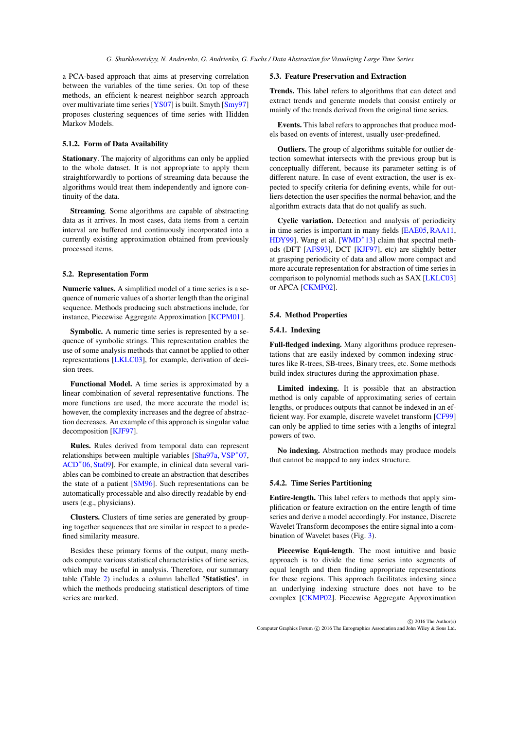<span id="page-12-0"></span>a PCA-based approach that aims at preserving correlation between the variables of the time series. On top of these methods, an efficient k-nearest neighbor search approach over multivariate time series [\[YS07\]](#page-22-3) is built. Smyth [\[Smy97\]](#page-21-18) proposes clustering sequences of time series with Hidden Markov Models.

#### 5.1.2. Form of Data Availability

Stationary. The majority of algorithms can only be applied to the whole dataset. It is not appropriate to apply them straightforwardly to portions of streaming data because the algorithms would treat them independently and ignore continuity of the data.

Streaming. Some algorithms are capable of abstracting data as it arrives. In most cases, data items from a certain interval are buffered and continuously incorporated into a currently existing approximation obtained from previously processed items.

#### 5.2. Representation Form

Numeric values. A simplified model of a time series is a sequence of numeric values of a shorter length than the original sequence. Methods producing such abstractions include, for instance, Piecewise Aggregate Approximation [\[KCPM01\]](#page-19-15).

Symbolic. A numeric time series is represented by a sequence of symbolic strings. This representation enables the use of some analysis methods that cannot be applied to other representations [\[LKLC03\]](#page-20-8), for example, derivation of decision trees.

Functional Model. A time series is approximated by a linear combination of several representative functions. The more functions are used, the more accurate the model is; however, the complexity increases and the degree of abstraction decreases. An example of this approach is singular value decomposition [\[KJF97\]](#page-20-17).

Rules. Rules derived from temporal data can represent relationships between multiple variables [\[Sha97a,](#page-21-6) [VSP](#page-21-13)<sup>∗</sup>07, [ACD](#page-17-20)<sup>∗</sup> 06, [Sta09\]](#page-21-19). For example, in clinical data several variables can be combined to create an abstraction that describes the state of a patient [\[SM96\]](#page-21-20). Such representations can be automatically processable and also directly readable by endusers (e.g., physicians).

Clusters. Clusters of time series are generated by grouping together sequences that are similar in respect to a predefined similarity measure.

Besides these primary forms of the output, many methods compute various statistical characteristics of time series, which may be useful in analysis. Therefore, our summary table (Table [2\)](#page-15-0) includes a column labelled 'Statistics', in which the methods producing statistical descriptors of time series are marked.

#### 5.3. Feature Preservation and Extraction

Trends. This label refers to algorithms that can detect and extract trends and generate models that consist entirely or mainly of the trends derived from the original time series.

Events. This label refers to approaches that produce models based on events of interest, usually user-predefined.

Outliers. The group of algorithms suitable for outlier detection somewhat intersects with the previous group but is conceptually different, because its parameter setting is of different nature. In case of event extraction, the user is expected to specify criteria for defining events, while for outliers detection the user specifies the normal behavior, and the algorithm extracts data that do not qualify as such.

Cyclic variation. Detection and analysis of periodicity in time series is important in many fields [\[EAE05,](#page-18-22)[RAA11,](#page-21-21) [HDY99\]](#page-19-16). Wang et al. [\[WMD](#page-21-10)<sup>\*</sup>13] claim that spectral methods (DFT [\[AFS93\]](#page-17-21), DCT [\[KJF97\]](#page-20-17), etc) are slightly better at grasping periodicity of data and allow more compact and more accurate representation for abstraction of time series in comparison to polynomial methods such as SAX [\[LKLC03\]](#page-20-8) or APCA [\[CKMP02\]](#page-18-23).

#### 5.4. Method Properties

#### 5.4.1. Indexing

Full-fledged indexing. Many algorithms produce representations that are easily indexed by common indexing structures like R-trees, SB-trees, Binary trees, etc. Some methods build index structures during the approximation phase.

Limited indexing. It is possible that an abstraction method is only capable of approximating series of certain lengths, or produces outputs that cannot be indexed in an efficient way. For example, discrete wavelet transform [\[CF99\]](#page-18-24) can only be applied to time series with a lengths of integral powers of two.

No indexing. Abstraction methods may produce models that cannot be mapped to any index structure.

#### 5.4.2. Time Series Partitioning

Entire-length. This label refers to methods that apply simplification or feature extraction on the entire length of time series and derive a model accordingly. For instance, Discrete Wavelet Transform decomposes the entire signal into a combination of Wavelet bases (Fig. [3\)](#page-13-2).

Piecewise Equi-length. The most intuitive and basic approach is to divide the time series into segments of equal length and then finding appropriate representations for these regions. This approach facilitates indexing since an underlying indexing structure does not have to be complex [\[CKMP02\]](#page-18-23). Piecewise Aggregate Approximation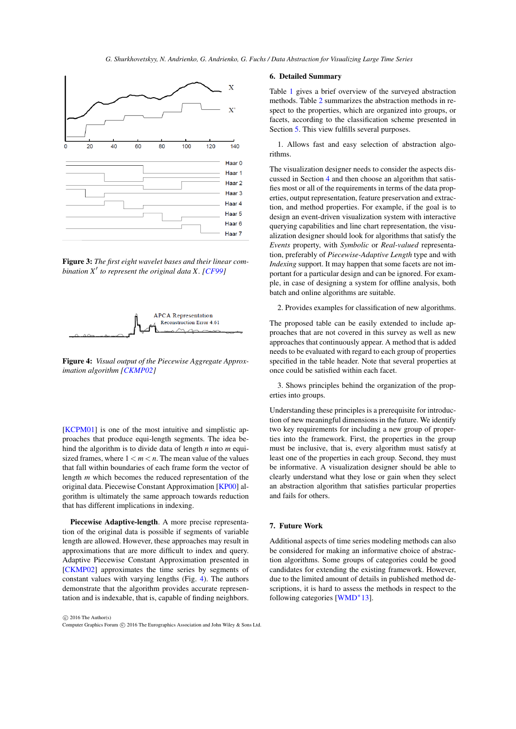<span id="page-13-4"></span>

<span id="page-13-2"></span>Figure 3: *The first eight wavelet bases and their linear combination X*<sup>0</sup> *to represent the original data X. [\[CF99\]](#page-18-24)*



<span id="page-13-3"></span>Figure 4: *Visual output of the Piecewise Aggregate Approximation algorithm [\[CKMP02\]](#page-18-23)*

[\[KCPM01\]](#page-19-15) is one of the most intuitive and simplistic approaches that produce equi-length segments. The idea behind the algorithm is to divide data of length *n* into *m* equisized frames, where  $1 < m < n$ . The mean value of the values that fall within boundaries of each frame form the vector of length *m* which becomes the reduced representation of the original data. Piecewise Constant Approximation [\[KP00\]](#page-20-18) algorithm is ultimately the same approach towards reduction that has different implications in indexing.

Piecewise Adaptive-length. A more precise representation of the original data is possible if segments of variable length are allowed. However, these approaches may result in approximations that are more difficult to index and query. Adaptive Piecewise Constant Approximation presented in [\[CKMP02\]](#page-18-23) approximates the time series by segments of constant values with varying lengths (Fig. [4\)](#page-13-3). The authors demonstrate that the algorithm provides accurate representation and is indexable, that is, capable of finding neighbors.

Computer Graphics Forum  $\odot$  2016 The Eurographics Association and John Wiley & Sons Ltd.

#### <span id="page-13-0"></span>6. Detailed Summary

Table [1](#page-14-0) gives a brief overview of the surveyed abstraction methods. Table [2](#page-15-0) summarizes the abstraction methods in respect to the properties, which are organized into groups, or facets, according to the classification scheme presented in Section [5.](#page-11-0) This view fulfills several purposes.

1. Allows fast and easy selection of abstraction algorithms.

The visualization designer needs to consider the aspects discussed in Section [4](#page-6-0) and then choose an algorithm that satisfies most or all of the requirements in terms of the data properties, output representation, feature preservation and extraction, and method properties. For example, if the goal is to design an event-driven visualization system with interactive querying capabilities and line chart representation, the visualization designer should look for algorithms that satisfy the *Events* property, with *Symbolic* or *Real-valued* representation, preferably of *Piecewise-Adaptive Length* type and with *Indexing* support. It may happen that some facets are not important for a particular design and can be ignored. For example, in case of designing a system for offline analysis, both batch and online algorithms are suitable.

2. Provides examples for classification of new algorithms.

The proposed table can be easily extended to include approaches that are not covered in this survey as well as new approaches that continuously appear. A method that is added needs to be evaluated with regard to each group of properties specified in the table header. Note that several properties at once could be satisfied within each facet.

3. Shows principles behind the organization of the properties into groups.

Understanding these principles is a prerequisite for introduction of new meaningful dimensions in the future. We identify two key requirements for including a new group of properties into the framework. First, the properties in the group must be inclusive, that is, every algorithm must satisfy at least one of the properties in each group. Second, they must be informative. A visualization designer should be able to clearly understand what they lose or gain when they select an abstraction algorithm that satisfies particular properties and fails for others.

#### <span id="page-13-1"></span>7. Future Work

Additional aspects of time series modeling methods can also be considered for making an informative choice of abstraction algorithms. Some groups of categories could be good candidates for extending the existing framework. However, due to the limited amount of details in published method descriptions, it is hard to assess the methods in respect to the following categories [\[WMD](#page-21-10)<sup>\*</sup>13].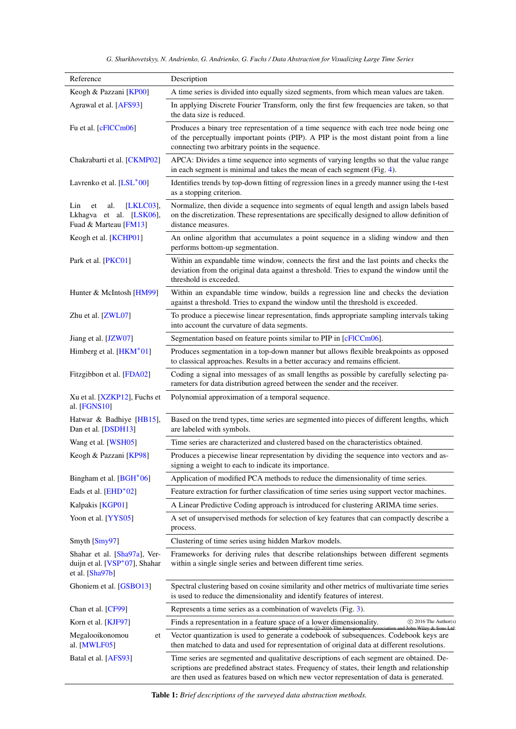| G. Shurkhovetskyy, N. Andrienko, G. Andrienko, G. Fuchs / Data Abstraction for Visualizing Large Time Series |  |  |  |  |  |  |  |  |
|--------------------------------------------------------------------------------------------------------------|--|--|--|--|--|--|--|--|
|--------------------------------------------------------------------------------------------------------------|--|--|--|--|--|--|--|--|

<span id="page-14-1"></span>

| Reference                                                                                     | Description                                                                                                                                                                                                                                                                           |
|-----------------------------------------------------------------------------------------------|---------------------------------------------------------------------------------------------------------------------------------------------------------------------------------------------------------------------------------------------------------------------------------------|
| Keogh & Pazzani [KP00]                                                                        | A time series is divided into equally sized segments, from which mean values are taken.                                                                                                                                                                                               |
| Agrawal et al. [AFS93]                                                                        | In applying Discrete Fourier Transform, only the first few frequencies are taken, so that<br>the data size is reduced.                                                                                                                                                                |
| Fu et al. [cFICCm06]                                                                          | Produces a binary tree representation of a time sequence with each tree node being one<br>of the perceptually important points (PIP). A PIP is the most distant point from a line<br>connecting two arbitrary points in the sequence.                                                 |
| Chakrabarti et al. [CKMP02]                                                                   | APCA: Divides a time sequence into segments of varying lengths so that the value range<br>in each segment is minimal and takes the mean of each segment (Fig. 4).                                                                                                                     |
| Lavrenko et al. $[LSL^*00]$                                                                   | Identifies trends by top-down fitting of regression lines in a greedy manner using the t-test<br>as a stopping criterion.                                                                                                                                                             |
| Lin<br>al.<br>$[LKLC03]$ ,<br>et<br>Lkhagva et al. [LSK06],<br>Fuad & Marteau [FM13]          | Normalize, then divide a sequence into segments of equal length and assign labels based<br>on the discretization. These representations are specifically designed to allow definition of<br>distance measures.                                                                        |
| Keogh et al. [KCHP01]                                                                         | An online algorithm that accumulates a point sequence in a sliding window and then<br>performs bottom-up segmentation.                                                                                                                                                                |
| Park et al. [PKC01]                                                                           | Within an expandable time window, connects the first and the last points and checks the<br>deviation from the original data against a threshold. Tries to expand the window until the<br>threshold is exceeded.                                                                       |
| Hunter & McIntosh [HM99]                                                                      | Within an expandable time window, builds a regression line and checks the deviation<br>against a threshold. Tries to expand the window until the threshold is exceeded.                                                                                                               |
| Zhu et al. [ZWL07]                                                                            | To produce a piecewise linear representation, finds appropriate sampling intervals taking<br>into account the curvature of data segments.                                                                                                                                             |
| Jiang et al. [JZW07]                                                                          | Segmentation based on feature points similar to PIP in [cFICCm06].                                                                                                                                                                                                                    |
| Himberg et al. [HKM <sup>*01]</sup>                                                           | Produces segmentation in a top-down manner but allows flexible breakpoints as opposed<br>to classical approaches. Results in a better accuracy and remains efficient.                                                                                                                 |
| Fitzgibbon et al. [FDA02]                                                                     | Coding a signal into messages of as small lengths as possible by carefully selecting pa-<br>rameters for data distribution agreed between the sender and the receiver.                                                                                                                |
| Xu et al. [XZKP12], Fuchs et<br>al. [FGNS10]                                                  | Polynomial approximation of a temporal sequence.                                                                                                                                                                                                                                      |
| Hatwar & Badhiye [HB15],<br>Dan et al. [DSDH13]                                               | Based on the trend types, time series are segmented into pieces of different lengths, which<br>are labeled with symbols.                                                                                                                                                              |
| Wang et al. [WSH05]                                                                           | Time series are characterized and clustered based on the characteristics obtained.                                                                                                                                                                                                    |
| Keogh & Pazzani [KP98]                                                                        | Produces a piecewise linear representation by dividing the sequence into vectors and as-<br>signing a weight to each to indicate its importance.                                                                                                                                      |
| Bingham et al. [BGH*06]                                                                       | Application of modified PCA methods to reduce the dimensionality of time series.                                                                                                                                                                                                      |
| Eads et al. $[EHD^*02]$                                                                       | Feature extraction for further classification of time series using support vector machines.                                                                                                                                                                                           |
| Kalpakis [KGP01]                                                                              | A Linear Predictive Coding approach is introduced for clustering ARIMA time series.                                                                                                                                                                                                   |
| Yoon et al. [YYS05]                                                                           | A set of unsupervised methods for selection of key features that can compactly describe a<br>process.                                                                                                                                                                                 |
| Smyth [Smy97]                                                                                 | Clustering of time series using hidden Markov models.                                                                                                                                                                                                                                 |
| Shahar et al. [Sha97a], Ver-<br>duijn et al. [VSP <sup>*</sup> 07], Shahar<br>et al. [Sha97b] | Frameworks for deriving rules that describe relationships between different segments<br>within a single single series and between different time series.                                                                                                                              |
| Ghoniem et al. [GSBO13]                                                                       | Spectral clustering based on cosine similarity and other metrics of multivariate time series<br>is used to reduce the dimensionality and identify features of interest.                                                                                                               |
| Chan et al. [CF99]                                                                            | Represents a time series as a combination of wavelets (Fig. 3).                                                                                                                                                                                                                       |
| Korn et al. [KJF97]                                                                           | Finds a representation in a feature space of a lower dimensionality.<br>Computer Graphics Forum @ 2016 The Eurographics Association and John Wiley & Sons Ltd                                                                                                                         |
| Megalooikonomou<br>et<br>al. [MWLF05]                                                         | Vector quantization is used to generate a codebook of subsequences. Codebook keys are<br>then matched to data and used for representation of original data at different resolutions.                                                                                                  |
| Batal et al. [AFS93]                                                                          | Time series are segmented and qualitative descriptions of each segment are obtained. De-<br>scriptions are predefined abstract states. Frequency of states, their length and relationship<br>are then used as features based on which new vector representation of data is generated. |

<span id="page-14-0"></span>Table 1: *Brief descriptions of the surveyed data abstraction methods.*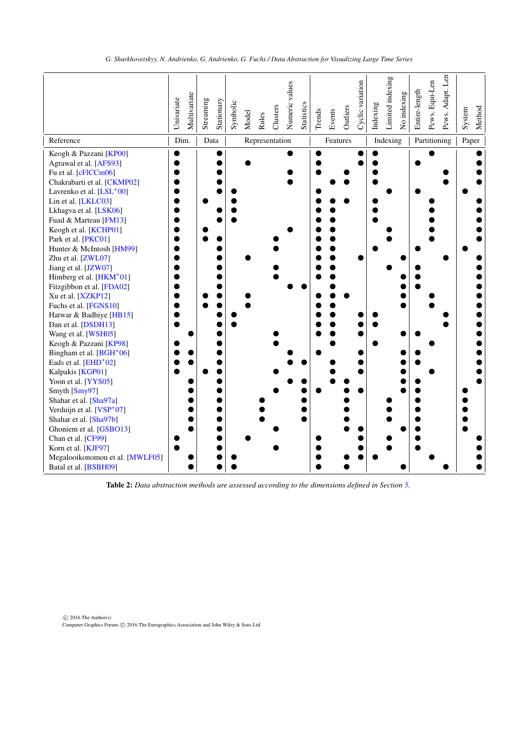<span id="page-15-1"></span>

|                                                                                                                                                                                                                                                                                                                                                                                                                                                                                                                                                                                                                                                                                                                                                                                         | Multivariate<br>Univariate | Streaming<br>Stationary | Symbolic       | Model | <b>Rules</b> | Clusters | Numeric values | Statistics | Trends | Events | Outliers | Cyclic variation | Indexing | Limited indexing | No indexing  | Entire-length | Pcws. Equi-Len | Pcws. Adapt. Len | System | Method |
|-----------------------------------------------------------------------------------------------------------------------------------------------------------------------------------------------------------------------------------------------------------------------------------------------------------------------------------------------------------------------------------------------------------------------------------------------------------------------------------------------------------------------------------------------------------------------------------------------------------------------------------------------------------------------------------------------------------------------------------------------------------------------------------------|----------------------------|-------------------------|----------------|-------|--------------|----------|----------------|------------|--------|--------|----------|------------------|----------|------------------|--------------|---------------|----------------|------------------|--------|--------|
| Reference                                                                                                                                                                                                                                                                                                                                                                                                                                                                                                                                                                                                                                                                                                                                                                               | Dim.                       | Data                    | Representation |       |              |          |                | Features   |        |        |          | Indexing         |          |                  | Partitioning |               |                | Paper            |        |        |
| Keogh & Pazzani [KP00]<br>Agrawal et al. [AFS93]<br>Fu et al. [cFlCCm06]<br>Chakrabarti et al. [CKMP02]<br>Lavrenko et al. [LSL*00]<br>Lin et al. [LKLC03]<br>Lkhagva et al. [LSK06]<br>Fuad & Marteau [FM13]<br>Keogh et al. [KCHP01]<br>Park et al. [PKC01]<br>Hunter & McIntosh [HM99]<br>Zhu et al. [ZWL07]<br>Jiang et al. [JZW07]<br>Himberg et al. [HKM*01]<br>Fitzgibbon et al. [FDA02]<br>Xu et al. [XZKP12]<br>Fuchs et al. [FGNS10]<br>Hatwar & Badhiye [HB15]<br>Dan et al. [DSDH13]<br>Wang et al. [WSH05]<br>Keogh & Pazzani [KP98]<br>Bingham et al. [BGH*06]<br>Eads et al. [EHD <sup>*02]</sup><br>Kalpakis [KGP01]<br>Yoon et al. [YYS05]<br>Smyth [Smy97]<br>Shahar et al. [Sha97a]<br>Verduijn et al. [VSP*07]<br>Shahar et al. [Sha97b]<br>Ghoniem et al. [GSBO13] |                            |                         |                |       |              |          |                |            |        |        |          |                  |          |                  |              |               |                |                  |        |        |
| Chan et al. [CF99]<br>Korn et al. [KJF97]<br>Megalooikonomou et al. [MWLF05]<br>Batal et al. [BSBH09]                                                                                                                                                                                                                                                                                                                                                                                                                                                                                                                                                                                                                                                                                   |                            |                         |                |       |              |          |                |            |        |        |          |                  |          |                  |              |               |                |                  |        |        |

<span id="page-15-0"></span>Table 2: *Data abstraction methods are assessed according to the dimensions defined in Section [5.](#page-11-0)*

c 2016 The Author(s) Computer Graphics Forum c 2016 The Eurographics Association and John Wiley & Sons Ltd.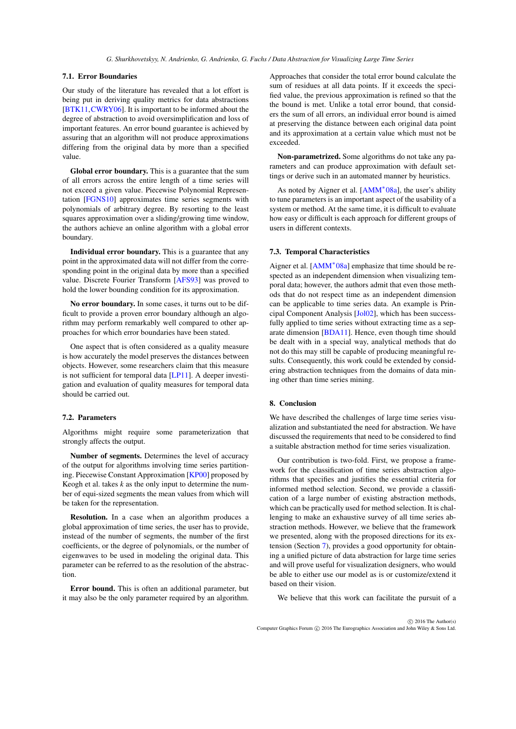#### <span id="page-16-1"></span>7.1. Error Boundaries

Our study of the literature has revealed that a lot effort is being put in deriving quality metrics for data abstractions [\[BTK11,](#page-18-27)[CWRY06\]](#page-18-6). It is important to be informed about the degree of abstraction to avoid oversimplification and loss of important features. An error bound guarantee is achieved by assuring that an algorithm will not produce approximations differing from the original data by more than a specified value.

Global error boundary. This is a guarantee that the sum of all errors across the entire length of a time series will not exceed a given value. Piecewise Polynomial Representation [\[FGNS10\]](#page-19-23) approximates time series segments with polynomials of arbitrary degree. By resorting to the least squares approximation over a sliding/growing time window, the authors achieve an online algorithm with a global error boundary.

Individual error boundary. This is a guarantee that any point in the approximated data will not differ from the corresponding point in the original data by more than a specified value. Discrete Fourier Transform [\[AFS93\]](#page-17-21) was proved to hold the lower bounding condition for its approximation.

No error boundary. In some cases, it turns out to be difficult to provide a proven error boundary although an algorithm may perform remarkably well compared to other approaches for which error boundaries have been stated.

One aspect that is often considered as a quality measure is how accurately the model preserves the distances between objects. However, some researchers claim that this measure is not sufficient for temporal data [\[LP11\]](#page-20-24). A deeper investigation and evaluation of quality measures for temporal data should be carried out.

#### 7.2. Parameters

Algorithms might require some parameterization that strongly affects the output.

Number of segments. Determines the level of accuracy of the output for algorithms involving time series partitioning. Piecewise Constant Approximation [\[KP00\]](#page-20-18) proposed by Keogh et al. takes  $k$  as the only input to determine the number of equi-sized segments the mean values from which will be taken for the representation.

Resolution. In a case when an algorithm produces a global approximation of time series, the user has to provide, instead of the number of segments, the number of the first coefficients, or the degree of polynomials, or the number of eigenwaves to be used in modeling the original data. This parameter can be referred to as the resolution of the abstraction.

Error bound. This is often an additional parameter, but it may also be the only parameter required by an algorithm. Approaches that consider the total error bound calculate the sum of residues at all data points. If it exceeds the specified value, the previous approximation is refined so that the the bound is met. Unlike a total error bound, that considers the sum of all errors, an individual error bound is aimed at preserving the distance between each original data point and its approximation at a certain value which must not be exceeded.

Non-parametrized. Some algorithms do not take any parameters and can produce approximation with default settings or derive such in an automated manner by heuristics.

As noted by Aigner et al. [\[AMM](#page-17-2)<sup>\*</sup>08a], the user's ability to tune parameters is an important aspect of the usability of a system or method. At the same time, it is difficult to evaluate how easy or difficult is each approach for different groups of users in different contexts.

#### 7.3. Temporal Characteristics

Aigner et al. [\[AMM](#page-17-2)<sup>\*</sup>08a] emphasize that time should be respected as an independent dimension when visualizing temporal data; however, the authors admit that even those methods that do not respect time as an independent dimension can be applicable to time series data. An example is Principal Component Analysis [\[Jol02\]](#page-19-8), which has been successfully applied to time series without extracting time as a separate dimension [\[BDA11\]](#page-17-23). Hence, even though time should be dealt with in a special way, analytical methods that do not do this may still be capable of producing meaningful results. Consequently, this work could be extended by considering abstraction techniques from the domains of data mining other than time series mining.

#### <span id="page-16-0"></span>8. Conclusion

We have described the challenges of large time series visualization and substantiated the need for abstraction. We have discussed the requirements that need to be considered to find a suitable abstraction method for time series visualization.

Our contribution is two-fold. First, we propose a framework for the classification of time series abstraction algorithms that specifies and justifies the essential criteria for informed method selection. Second, we provide a classification of a large number of existing abstraction methods, which can be practically used for method selection. It is challenging to make an exhaustive survey of all time series abstraction methods. However, we believe that the framework we presented, along with the proposed directions for its extension (Section [7\)](#page-13-1), provides a good opportunity for obtaining a unified picture of data abstraction for large time series and will prove useful for visualization designers, who would be able to either use our model as is or customize/extend it based on their vision.

We believe that this work can facilitate the pursuit of a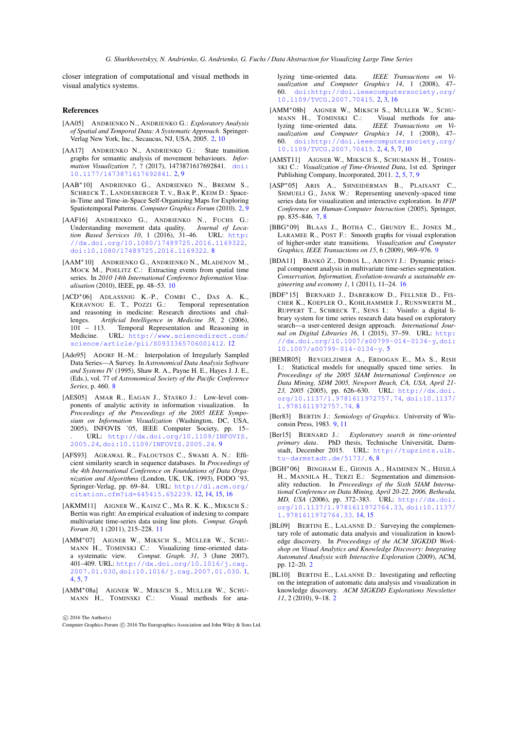closer integration of computational and visual methods in visual analytics systems.

#### References

- <span id="page-17-5"></span>[AA05] ANDRIENKO N., ANDRIENKO G.: *Exploratory Analysis of Spatial and Temporal Data: A Systematic Approach*. Springer-Verlag New York, Inc., Secaucus, NJ, USA, 2005. [2,](#page-2-1) [10](#page-10-0)
- <span id="page-17-7"></span>[AA17] ANDRIENKO N., ANDRIENKO G.: State transition graphs for semantic analysis of movement behaviours. *Information Visualization ?*, ? (2017), 1473871617692841. [doi:](http://dx.doi.org/10.1177/1473871617692841) [10.1177/1473871617692841](http://dx.doi.org/10.1177/1473871617692841). [2,](#page-2-1) [9](#page-9-0)
- <span id="page-17-6"></span>[AAB∗10] ANDRIENKO G., ANDRIENKO N., BREMM S., SCHRECK T., LANDESBERGER T. V., BAK P., KEIM D.: Spacein-Time and Time-in-Space Self-Organizing Maps for Exploring Spatiotemporal Patterns. *Computer Graphics Forum* (2010). [2,](#page-2-1) [9](#page-9-0)
- <span id="page-17-14"></span>[AAF16] ANDRIENKO G., ANDRIENKO N., FUCHS G.: Understanding movement data quality. *Journal of Location Based Services 10*, 1 (2016), 31–46. URL: [http:](http://dx.doi.org/10.1080/17489725.2016.1169322) [//dx.doi.org/10.1080/17489725.2016.1169322](http://dx.doi.org/10.1080/17489725.2016.1169322), [doi:10.1080/17489725.2016.1169322](http://dx.doi.org/10.1080/17489725.2016.1169322). [8](#page-8-0)
- <span id="page-17-18"></span>[AAM∗10] ANDRIENKO G., ANDRIENKO N., MLADENOV M., MOCK M., POELITZ C.: Extracting events from spatial time series. In *2010 14th International Conference Information Visualisation* (2010), IEEE, pp. 48–53. [10](#page-10-0)
- <span id="page-17-20"></span>[ACD∗06] ADLASSNIG K.-P., COMBI C., DAS A. K., KERAVNOU E. T., POZZI G.: Temporal representation and reasoning in medicine: Research directions and challenges. *Artificial Intelligence in Medicine 38*, 2 (2006), Temporal Representation and Reasoning in Medicine. URL: [http://www.sciencedirect.com/](http://www.sciencedirect.com/science/article/pii/S0933365706001412) [science/article/pii/S0933365706001412](http://www.sciencedirect.com/science/article/pii/S0933365706001412). [12](#page-12-0)
- <span id="page-17-12"></span>[Ado95] ADORF H.-M.: Interpolation of Irregularly Sampled Data Series—A Survey. In *Astronomical Data Analysis Software and Systems IV* (1995), Shaw R. A., Payne H. E., Hayes J. J. E., (Eds.), vol. 77 of *Astronomical Society of the Pacific Conference Series*, p. 460. [8](#page-8-0)
- <span id="page-17-17"></span>[AES05] AMAR R., EAGAN J., STASKO J.: Low-level components of analytic activity in information visualization. In *Proceedings of the Proceedings of the 2005 IEEE Symposium on Information Visualization* (Washington, DC, USA, 2005), INFOVIS '05, IEEE Computer Society, pp. 15– . URL: [http://dx.doi.org/10.1109/INFOVIS.](http://dx.doi.org/10.1109/INFOVIS.2005.24) [2005.24](http://dx.doi.org/10.1109/INFOVIS.2005.24), [doi:10.1109/INFOVIS.2005.24](http://dx.doi.org/10.1109/INFOVIS.2005.24). [9](#page-9-0)
- <span id="page-17-21"></span>[AFS93] AGRAWAL R., FALOUTSOS C., SWAMI A. N.: Efficient similarity search in sequence databases. In *Proceedings of the 4th International Conference on Foundations of Data Organization and Algorithms* (London, UK, UK, 1993), FODO '93, Springer-Verlag, pp. 69–84. URL: [http://dl.acm.org/](http://dl.acm.org/citation.cfm?id=645415.652239) [citation.cfm?id=645415.652239](http://dl.acm.org/citation.cfm?id=645415.652239). [12,](#page-12-0) [14,](#page-14-1) [15,](#page-15-1) [16](#page-16-1)
- <span id="page-17-19"></span>[AKMM11] AIGNER W., KAINZ C., MA R. K. K., MIKSCH S.: Bertin was right: An empirical evaluation of indexing to compare multivariate time-series data using line plots. *Comput. Graph. Forum 30*, 1 (2011), 215–228. [11](#page-11-1)
- <span id="page-17-0"></span>[AMM∗07] AIGNER W., MIKSCH S., MÜLLER W., SCHU-MANN H., TOMINSKI C.: Visualizing time-oriented dataa systematic view. *Comput. Graph. 31*, 3 (June 2007), 401–409. URL: [http://dx.doi.org/10.1016/j.cag.](http://dx.doi.org/10.1016/j.cag.2007.01.030) [2007.01.030](http://dx.doi.org/10.1016/j.cag.2007.01.030), [doi:10.1016/j.cag.2007.01.030](http://dx.doi.org/10.1016/j.cag.2007.01.030). [1,](#page-1-0) [4,](#page-4-1) [5,](#page-5-1) [7](#page-7-1)
- <span id="page-17-2"></span>[AMM∗08a] AIGNER W., MIKSCH S., MULLER W., SCHU-MANN H., TOMINSKI C.: Visual methods for ana-

lyzing time-oriented data. *IEEE Transactions on Visualization and Computer Graphics 14*, 1 (2008), 47– 60. [doi:http://doi.ieeecomputersociety.org/](http://dx.doi.org/http://doi.ieeecomputersociety.org/10.1109/TVCG.2007.70415) [10.1109/TVCG.2007.70415](http://dx.doi.org/http://doi.ieeecomputersociety.org/10.1109/TVCG.2007.70415). [2,](#page-2-1) [3,](#page-3-0) [16](#page-16-1)

- <span id="page-17-8"></span>[AMM<sup>\*</sup>08b] AIGNER W., MIKSCH S., MULLER W., SCHU-<br>MANN H., TOMINSKI C.: Visual methods for ana-MANN H., TOMINSKI C.: lyzing time-oriented data. *IEEE Transactions on Visualization and Computer Graphics 14*, 1 (2008), 47– 60. [doi:http://doi.ieeecomputersociety.org/](http://dx.doi.org/http://doi.ieeecomputersociety.org/10.1109/TVCG.2007.70415) [10.1109/TVCG.2007.70415](http://dx.doi.org/http://doi.ieeecomputersociety.org/10.1109/TVCG.2007.70415). [2,](#page-2-1) [4,](#page-4-1) [5,](#page-5-1) [7,](#page-7-1) [10](#page-10-0)
- <span id="page-17-4"></span>[AMST11] AIGNER W., MIKSCH S., SCHUMANN H., TOMIN-SKI C.: *Visualization of Time-Oriented Data*, 1st ed. Springer Publishing Company, Incorporated, 2011. [2,](#page-2-1) [5,](#page-5-1) [7,](#page-7-1) [9](#page-9-0)
- <span id="page-17-11"></span>[ASP∗05] ARIS A., SHNEIDERMAN B., PLAISANT C., SHMUELI G., JANK W.: Representing unevenly-spaced time series data for visualization and interactive exploration. In *IFIP Conference on Human-Computer Interaction* (2005), Springer, pp. 835–846. [7,](#page-7-1) [8](#page-8-0)
- <span id="page-17-16"></span>[BBG∗09] BLAAS J., BOTHA C., GRUNDY E., JONES M., LARAMEE R., POST F.: Smooth graphs for visual exploration of higher-order state transitions. *Visualization and Computer Graphics, IEEE Transactions on 15*, 6 (2009), 969–976. [9](#page-9-0)
- <span id="page-17-23"></span>[BDA11] BANKÓ Z., DOBOS L., ABONYI J.: Dynamic principal component analysis in multivariate time-series segmentation. *Conservation, Information, Evolution-towards a sustainable engineering and economy 1*, 1 (2011), 11–24. [16](#page-16-1)
- <span id="page-17-9"></span>[BDF∗15] BERNARD J., DABERKOW D., FELLNER D., FIS-CHER K., KOEPLER O., KOHLHAMMER J., RUNNWERTH M., RUPPERT T., SCHRECK T., SENS I.: Visinfo: a digital library system for time series research data based on exploratory search—a user-centered design approach. *International Journal on Digital Libraries 16*, 1 (2015), 37–59. URL: [http:](http://dx.doi.org/10.1007/s00799-014-0134-y) [//dx.doi.org/10.1007/s00799-014-0134-y](http://dx.doi.org/10.1007/s00799-014-0134-y), [doi:](http://dx.doi.org/10.1007/s00799-014-0134-y) [10.1007/s00799-014-0134-y](http://dx.doi.org/10.1007/s00799-014-0134-y). [5](#page-5-1)
- <span id="page-17-13"></span>[BEMR05] BEYGELZIMER A., ERDOGAN E., MA S., RISH I.: Statictical models for unequally spaced time series. In *Proceedings of the 2005 SIAM International Conference on Data Mining, SDM 2005, Newport Beach, CA, USA, April 21- 23, 2005* (2005), pp. 626–630. URL: [http://dx.doi.](http://dx.doi.org/10.1137/1.9781611972757.74) [org/10.1137/1.9781611972757.74](http://dx.doi.org/10.1137/1.9781611972757.74), [doi:10.1137/](http://dx.doi.org/10.1137/1.9781611972757.74) [1.9781611972757.74](http://dx.doi.org/10.1137/1.9781611972757.74). [8](#page-8-0)
- <span id="page-17-15"></span>[Ber83] BERTIN J.: *Semiology of Graphics*. University of Wisconsin Press, 1983. [9,](#page-9-0) [11](#page-11-1)
- <span id="page-17-10"></span>[Ber15] BERNARD J.: *Exploratory search in time-oriented primary data*. PhD thesis, Technische Universität, Darmstadt, December 2015. URL: [http://tuprints.ulb.](http://tuprints.ulb.tu-darmstadt.de/5173/) [tu-darmstadt.de/5173/](http://tuprints.ulb.tu-darmstadt.de/5173/). [6,](#page-6-1) [8](#page-8-0)
- <span id="page-17-22"></span>[BGH∗06] BINGHAM E., GIONIS A., HAIMINEN N., HIISILÄ H., MANNILA H., TERZI E.: Segmentation and dimensionality reduction. In *Proceedings of the Sixth SIAM International Conference on Data Mining, April 20-22, 2006, Bethesda, MD, USA* (2006), pp. 372–383. URL: [http://dx.doi.](http://dx.doi.org/10.1137/1.9781611972764.33) [org/10.1137/1.9781611972764.33](http://dx.doi.org/10.1137/1.9781611972764.33), [doi:10.1137/](http://dx.doi.org/10.1137/1.9781611972764.33) [1.9781611972764.33](http://dx.doi.org/10.1137/1.9781611972764.33). [14,](#page-14-1) [15](#page-15-1)
- <span id="page-17-3"></span>[BL09] BERTINI E., LALANNE D.: Surveying the complementary role of automatic data analysis and visualization in knowledge discovery. In *Proceedings of the ACM SIGKDD Workshop on Visual Analytics and Knowledge Discovery: Integrating Automated Analysis with Interactive Exploration* (2009), ACM, pp. 12–20. [2](#page-2-1)
- <span id="page-17-1"></span>[BL10] BERTINI E., LALANNE D.: Investigating and reflecting on the integration of automatic data analysis and visualization in knowledge discovery. *ACM SIGKDD Explorations Newsletter 11*, 2 (2010), 9–18. [2](#page-2-1)

Computer Graphics Forum  $\odot$  2016 The Eurographics Association and John Wiley & Sons Ltd.

 $\odot$  2016 The Author(s)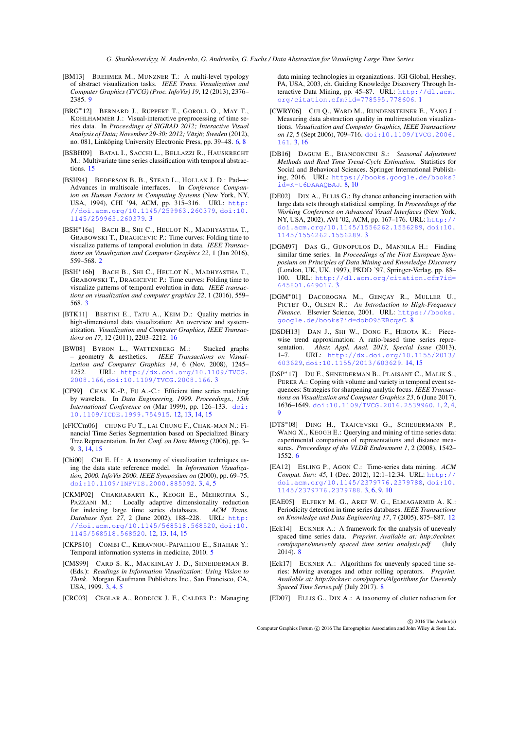- <span id="page-18-21"></span>[BM13] BREHMER M., MUNZNER T.: A multi-level typology of abstract visualization tasks. *IEEE Trans. Visualization and Computer Graphics (TVCG) (Proc. InfoVis) 19*, 12 (2013), 2376– 2385. [9](#page-9-0)
- <span id="page-18-16"></span>[BRG∗12] BERNARD J., RUPPERT T., GOROLL O., MAY T., KOHLHAMMER J.: Visual-interactive preprocessing of time series data. In *Proceedings of SIGRAD 2012; Interactive Visual Analysis of Data; November 29-30; 2012; Växjö; Sweden* (2012), no. 081, Linköping University Electronic Press, pp. 39–48. [6,](#page-6-1) [8](#page-8-0)
- <span id="page-18-26"></span>[BSBH09] BATAL I., SACCHI L., BELLAZZI R., HAUSKRECHT M.: Multivariate time series classification with temporal abstractions. [15](#page-15-1)
- <span id="page-18-9"></span>[BSH94] BEDERSON B. B., STEAD L., HOLLAN J. D.: Pad++: Advances in multiscale interfaces. In *Conference Companion on Human Factors in Computing Systems* (New York, NY, USA, 1994), CHI '94, ACM, pp. 315–316. URL: [http:](http://doi.acm.org/10.1145/259963.260379) [//doi.acm.org/10.1145/259963.260379](http://doi.acm.org/10.1145/259963.260379), [doi:10.](http://dx.doi.org/10.1145/259963.260379) [1145/259963.260379](http://dx.doi.org/10.1145/259963.260379). [3](#page-3-0)
- <span id="page-18-2"></span>[BSH∗16a] BACH B., SHI C., HEULOT N., MADHYASTHA T., GRABOWSKI T., DRAGICEVIC P.: Time curves: Folding time to visualize patterns of temporal evolution in data. *IEEE Transactions on Visualization and Computer Graphics 22*, 1 (Jan 2016), 559–568. [2](#page-2-1)
- <span id="page-18-4"></span>[BSH∗16b] BACH B., SHI C., HEULOT N., MADHYASTHA T., GRABOWSKI T., DRAGICEVIC P.: Time curves: Folding time to visualize patterns of temporal evolution in data. *IEEE transactions on visualization and computer graphics 22*, 1 (2016), 559– 568. [3](#page-3-0)
- <span id="page-18-27"></span>[BTK11] BERTINI E., TATU A., KEIM D.: Quality metrics in high-dimensional data visualization: An overview and systematization. *Visualization and Computer Graphics, IEEE Transactions on 17*, 12 (2011), 2203–2212. [16](#page-16-1)
- <span id="page-18-3"></span>[BW08] BYRON L., WATTENBERG M.: Stacked graphs - geometry & aesthetics. IEEE Transactions on Visual-– geometry & aesthetics. *IEEE Transactions on Visualization and Computer Graphics 14*, 6 (Nov. 2008), 1245– 1252. URL: [http://dx.doi.org/10.1109/TVCG.](http://dx.doi.org/10.1109/TVCG.2008.166) [2008.166](http://dx.doi.org/10.1109/TVCG.2008.166), [doi:10.1109/TVCG.2008.166](http://dx.doi.org/10.1109/TVCG.2008.166). [3](#page-3-0)
- <span id="page-18-24"></span>[CF99] CHAN K.-P., FU A.-C.: Efficient time series matching by wavelets. In *Data Engineering, 1999. Proceedings., 15th International Conference on* (Mar 1999), pp. 126–133. [doi:](http://dx.doi.org/10.1109/ICDE.1999.754915) [10.1109/ICDE.1999.754915](http://dx.doi.org/10.1109/ICDE.1999.754915). [12,](#page-12-0) [13,](#page-13-4) [14,](#page-14-1) [15](#page-15-1)
- <span id="page-18-12"></span>[cFlCCm06] CHUNG FU T., LAI CHUNG F., CHAK-MAN N.: Financial Time Series Segmentation based on Specialized Binary Tree Representation. In *Int. Conf. on Data Mining* (2006), pp. 3– 9. [3,](#page-3-0) [14,](#page-14-1) [15](#page-15-1)
- <span id="page-18-8"></span>[Chi00] CHI E. H.: A taxonomy of visualization techniques using the data state reference model. In *Information Visualization, 2000. InfoVis 2000. IEEE Symposium on* (2000), pp. 69–75. [doi:10.1109/INFVIS.2000.885092](http://dx.doi.org/10.1109/INFVIS.2000.885092). [3,](#page-3-0) [4,](#page-4-1) [5](#page-5-1)
- <span id="page-18-23"></span>[CKMP02] CHAKRABARTI K., KEOGH E., MEHROTRA S., PAZZANI M.: Locally adaptive dimensionality reduction for indexing large time series databases. *ACM Trans. Database Syst. 27*, 2 (June 2002), 188–228. URL: [http:](http://doi.acm.org/10.1145/568518.568520) [//doi.acm.org/10.1145/568518.568520](http://doi.acm.org/10.1145/568518.568520), [doi:10.](http://dx.doi.org/10.1145/568518.568520) [1145/568518.568520](http://dx.doi.org/10.1145/568518.568520). [12,](#page-12-0) [13,](#page-13-4) [14,](#page-14-1) [15](#page-15-1)
- <span id="page-18-14"></span>[CKPS10] COMBI C., KERAVNOU-PAPAILIOU E., SHAHAR Y.: Temporal information systems in medicine, 2010. [5](#page-5-1)
- <span id="page-18-7"></span>[CMS99] CARD S. K., MACKINLAY J. D., SHNEIDERMAN B. (Eds.): *Readings in Information Visualization: Using Vision to Think*. Morgan Kaufmann Publishers Inc., San Francisco, CA, USA, 1999. [3,](#page-3-0) [4,](#page-4-1) [5](#page-5-1)
- <span id="page-18-0"></span>[CRC03] CEGLAR A., RODDICK J. F., CALDER P.: Managing

data mining technologies in organizations. IGI Global, Hershey, PA, USA, 2003, ch. Guiding Knowledge Discovery Through Interactive Data Mining, pp. 45–87. URL: [http://dl.acm.](http://dl.acm.org/citation.cfm?id=778595.778606) [org/citation.cfm?id=778595.778606](http://dl.acm.org/citation.cfm?id=778595.778606). [1](#page-1-0)

- <span id="page-18-6"></span>[CWRY06] CUI Q., WARD M., RUNDENSTEINER E., YANG J.: Measuring data abstraction quality in multiresolution visualizations. *Visualization and Computer Graphics, IEEE Transactions on 12*, 5 (Sept 2006), 709–716. [doi:10.1109/TVCG.2006.](http://dx.doi.org/10.1109/TVCG.2006.161) [161](http://dx.doi.org/10.1109/TVCG.2006.161). [3,](#page-3-0) [16](#page-16-1)
- <span id="page-18-20"></span>[DB16] DAGUM E., BIANCONCINI S.: *Seasonal Adjustment Methods and Real Time Trend-Cycle Estimation*. Statistics for Social and Behavioral Sciences. Springer International Publishing, 2016. URL: [https://books.google.de/books?](https://books.google.de/books?id=K-t6DAAAQBAJ) [id=K-t6DAAAQBAJ](https://books.google.de/books?id=K-t6DAAAQBAJ). [8,](#page-8-0) [10](#page-10-0)
- <span id="page-18-10"></span>[DE02] DIX A., ELLIS G.: By chance enhancing interaction with large data sets through statistical sampling. In *Proceedings of the Working Conference on Advanced Visual Interfaces* (New York, NY, USA, 2002), AVI '02, ACM, pp. 167–176. URL: [http://](http://doi.acm.org/10.1145/1556262.1556289) [doi.acm.org/10.1145/1556262.1556289](http://doi.acm.org/10.1145/1556262.1556289), [doi:10.](http://dx.doi.org/10.1145/1556262.1556289) [1145/1556262.1556289](http://dx.doi.org/10.1145/1556262.1556289). [3](#page-3-0)
- <span id="page-18-11"></span>[DGM97] DAS G., GUNOPULOS D., MANNILA H.: Finding similar time series. In *Proceedings of the First European Symposium on Principles of Data Mining and Knowledge Discovery* (London, UK, UK, 1997), PKDD '97, Springer-Verlag, pp. 88– 100. URL: [http://dl.acm.org/citation.cfm?id=](http://dl.acm.org/citation.cfm?id=645801.669017) [645801.669017](http://dl.acm.org/citation.cfm?id=645801.669017). [3](#page-3-0)
- <span id="page-18-19"></span>[DGM∗01] DACOROGNA M., GENÇAY R., MULLER U., PICTET O., OLSEN R.: *An Introduction to High-Frequency Finance*. Elsevier Science, 2001. URL: [https://books.](https://books.google.de/books?id=dobO95EBcqsC) [google.de/books?id=dobO95EBcqsC](https://books.google.de/books?id=dobO95EBcqsC). [8](#page-8-0)
- <span id="page-18-25"></span>[DSDH13] DAN J., SHI W., DONG F., HIROTA K.: Piecewise trend approximation: A ratio-based time series repre-<br>sentation. Abstr. Appl. Anal. 2013. Special Issue (2013). sentation. *Abstr. Appl. Anal. 2013, Special Issue* (2013), URL: [http://dx.doi.org/10.1155/2013/](http://dx.doi.org/10.1155/2013/603629) [603629](http://dx.doi.org/10.1155/2013/603629), [doi:10.1155/2013/603629](http://dx.doi.org/10.1155/2013/603629). [14,](#page-14-1) [15](#page-15-1)
- <span id="page-18-1"></span>[DSP∗17] D<sup>U</sup> F., SHNEIDERMAN B., PLAISANT C., MALIK S., PERER A.: Coping with volume and variety in temporal event sequences: Strategies for sharpening analytic focus. *IEEE Transactions on Visualization and Computer Graphics 23*, 6 (June 2017), 1636–1649. [doi:10.1109/TVCG.2016.2539960](http://dx.doi.org/10.1109/TVCG.2016.2539960). [1,](#page-1-0) [2,](#page-2-1) [4,](#page-4-1) [9](#page-9-0)
- <span id="page-18-15"></span>[DTS∗08] DING H., TRAJCEVSKI G., SCHEUERMANN P., WANG X., KEOGH E.: Querying and mining of time series data: experimental comparison of representations and distance measures. *Proceedings of the VLDB Endowment 1*, 2 (2008), 1542– 1552. [6](#page-6-1)
- <span id="page-18-5"></span>[EA12] ESLING P., AGON C.: Time-series data mining. *ACM Comput. Surv. 45*, 1 (Dec. 2012), 12:1–12:34. URL: [http://](http://doi.acm.org/10.1145/2379776.2379788) [doi.acm.org/10.1145/2379776.2379788](http://doi.acm.org/10.1145/2379776.2379788), [doi:10.](http://dx.doi.org/10.1145/2379776.2379788) [1145/2379776.2379788](http://dx.doi.org/10.1145/2379776.2379788). [3,](#page-3-0) [6,](#page-6-1) [9,](#page-9-0) [10](#page-10-0)
- <span id="page-18-22"></span>[EAE05] ELFEKY M. G., AREF W. G., ELMAGARMID A. K.: Periodicity detection in time series databases. *IEEE Transactions on Knowledge and Data Engineering 17*, 7 (2005), 875–887. [12](#page-12-0)
- <span id="page-18-17"></span>[Eck14] ECKNER A.: A framework for the analysis of unevenly spaced time series data. *Preprint. Available at: http://eckner. com/papers/unevenly\_spaced\_time\_series\_analysis.pdf* (July 2014). [8](#page-8-0)
- <span id="page-18-18"></span>[Eck17] ECKNER A.: Algorithms for unevenly spaced time series: Moving averages and other rolling operators. *Preprint. Available at: http://eckner. com/papers/Algorithms for Unevenly Spaced Time Series.pdf* (July 2017). [8](#page-8-0)
- <span id="page-18-13"></span>[ED07] ELLIS G., DIX A.: A taxonomy of clutter reduction for

 $\circled{c}$  2016 The Author(s) Computer Graphics Forum  $\odot$  2016 The Eurographics Association and John Wiley & Sons Ltd.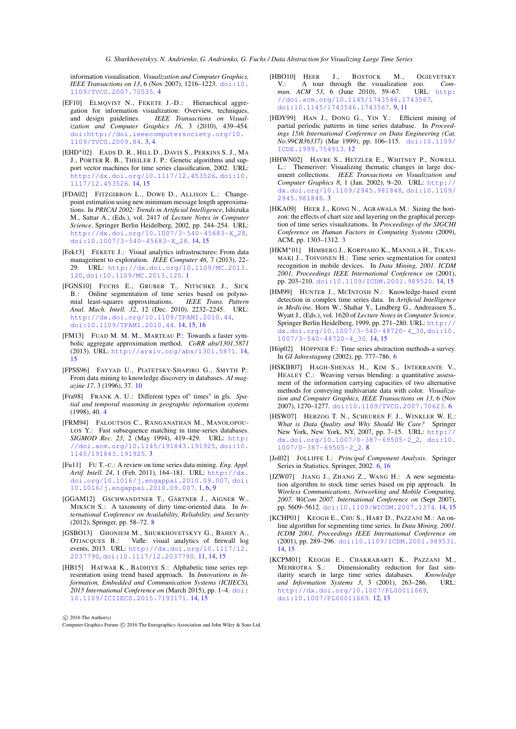information visualisation. *Visualization and Computer Graphics, IEEE Transactions on 13, 6 (Nov 2007), 1216–1223. [doi:10.](http://dx.doi.org/10.1109/TVCG.2007.70535)* [1109/TVCG.2007.70535](http://dx.doi.org/10.1109/TVCG.2007.70535). [4](#page-4-1)

- <span id="page-19-4"></span>[EF10] ELMQVIST N., FEKETE J.-D.: Hierarchical aggregation for information visualization: Overview, techniques, and design guidelines. *IEEE Transactions on Visualization and Computer Graphics 16*, 3 (2010), 439–454. [doi:http://doi.ieeecomputersociety.org/10.](http://dx.doi.org/http://doi.ieeecomputersociety.org/10.1109/TVCG.2009.84) [1109/TVCG.2009.84](http://dx.doi.org/http://doi.ieeecomputersociety.org/10.1109/TVCG.2009.84). [3,](#page-3-0) [4](#page-4-1)
- <span id="page-19-25"></span>[EHD∗02] EADS D. R., HILL D., DAVIS S., PERKINS S. J., M<sup>A</sup> J., PORTER R. B., THEILER J. P.: Genetic algorithms and support vector machines for time series classification, 2002. URL: <http://dx.doi.org/10.1117/12.453526>, [doi:10.](http://dx.doi.org/10.1117/12.453526) [1117/12.453526](http://dx.doi.org/10.1117/12.453526). [14,](#page-14-1) [15](#page-15-1)
- <span id="page-19-22"></span>[FDA02] FITZGIBBON L., DOWE D., ALLISON L.: Changepoint estimation using new minimum message length approximations. In *PRICAI 2002: Trends in Artificial Intelligence*, Ishizuka M., Sattar A., (Eds.), vol. 2417 of *Lecture Notes in Computer Science*. Springer Berlin Heidelberg, 2002, pp. 244–254. URL: [http://dx.doi.org/10.1007/3-540-45683-X\\_28](http://dx.doi.org/10.1007/3-540-45683-X_28), [doi:10.1007/3-540-45683-X\\_28](http://dx.doi.org/10.1007/3-540-45683-X_28). [14,](#page-14-1) [15](#page-15-1)
- <span id="page-19-1"></span>[Fek13] FEKETE J.: Visual analytics infrastructures: From data management to exploration. *IEEE Computer 46*, 7 (2013), 22– 29. URL: [http://dx.doi.org/10.1109/MC.2013.](http://dx.doi.org/10.1109/MC.2013.120) [120](http://dx.doi.org/10.1109/MC.2013.120), [doi:10.1109/MC.2013.120](http://dx.doi.org/10.1109/MC.2013.120). [1](#page-1-0)
- <span id="page-19-23"></span>[FGNS10] FUCHS E., GRUBER T., NITSCHKE J., SICK B.: Online segmentation of time series based on polyno-<br>mial least-squares approximations. IEEE Trans. Pattern mial least-squares approximations. *Anal. Mach. Intell. 32*, 12 (Dec. 2010), 2232–2245. URL: <http://dx.doi.org/10.1109/TPAMI.2010.44>, [doi:10.1109/TPAMI.2010.44](http://dx.doi.org/10.1109/TPAMI.2010.44). [14,](#page-14-1) [15,](#page-15-1) [16](#page-16-1)
- <span id="page-19-17"></span>[FM13] FUAD M. M. M., MARTEAU P.: Towards a faster symbolic aggregate approximation method. *CoRR abs/1301.5871* (2013). URL: <http://arxiv.org/abs/1301.5871>. [14,](#page-14-1) [15](#page-15-1)
- <span id="page-19-13"></span>[FPSS96] FAYYAD U., PIATETSKY-SHAPIRO G., SMYTH P.: From data mining to knowledge discovery in databases. *AI magazine 17*, 3 (1996), 37. [10](#page-10-0)
- <span id="page-19-6"></span>[Fra98] FRANK A. U.: Different types of" times" in gls. *Spatial and temporal reasoning in geographic information systems* (1998), 40. [4](#page-4-1)
- <span id="page-19-5"></span>[FRM94] FALOUTSOS C., RANGANATHAN M., MANOLOPOU-LOS Y.: Fast subsequence matching in time-series databases. *SIGMOD Rec. 23*, 2 (May 1994), 419–429. URL: [http:](http://doi.acm.org/10.1145/191843.191925) [//doi.acm.org/10.1145/191843.191925](http://doi.acm.org/10.1145/191843.191925), [doi:10.](http://dx.doi.org/10.1145/191843.191925) [1145/191843.191925](http://dx.doi.org/10.1145/191843.191925). [3](#page-3-0)
- <span id="page-19-0"></span>[Fu11] FU T.-C.: A review on time series data mining. *Eng. Appl. Artif. Intell. 24*, 1 (Feb. 2011), 164–181. URL: [http://dx.](http://dx.doi.org/10.1016/j.engappai.2010.09.007) [doi.org/10.1016/j.engappai.2010.09.007](http://dx.doi.org/10.1016/j.engappai.2010.09.007), [doi:](http://dx.doi.org/10.1016/j.engappai.2010.09.007) [10.1016/j.engappai.2010.09.007](http://dx.doi.org/10.1016/j.engappai.2010.09.007). [1,](#page-1-0) [6,](#page-6-1) [9](#page-9-0)
- <span id="page-19-11"></span>[GGAM12] GSCHWANDTNER T., GÄRTNER J., AIGNER W., MIKSCH S.: A taxonomy of dirty time-oriented data. In *International Conference on Availability, Reliability, and Security* (2012), Springer, pp. 58–72. [8](#page-8-0)
- <span id="page-19-14"></span>[GSBO13] GHONIEM M., SHURKHOVETSKYY G., BAHEY A., OTJACQUES B.: Vafle: visual analytics of firewall log events, 2013. URL: [http://dx.doi.org/10.1117/12.](http://dx.doi.org/10.1117/12.2037790) [2037790](http://dx.doi.org/10.1117/12.2037790), [doi:10.1117/12.2037790](http://dx.doi.org/10.1117/12.2037790). [11,](#page-11-1) [14,](#page-14-1) [15](#page-15-1)
- <span id="page-19-24"></span>[HB15] HATWAR K., BADHIYE S.: Alphabetic time series representation using trend based approach. In *Innovations in Information, Embedded and Communication Systems (ICIIECS), 2015 International Conference on* (March 2015), pp. 1–4. [doi:](http://dx.doi.org/10.1109/ICIIECS.2015.7193171) [10.1109/ICIIECS.2015.7193171](http://dx.doi.org/10.1109/ICIIECS.2015.7193171). [14,](#page-14-1) [15](#page-15-1)
- <span id="page-19-12"></span>[HBO10] HEER J., BOSTOCK M., OGIEVETSKY V A tour through the visualization zoo. Com-A tour through the visualization zoo. *Commun. ACM 53*, 6 (June 2010), 59–67. URL: [http:](http://doi.acm.org/10.1145/1743546.1743567) [//doi.acm.org/10.1145/1743546.1743567](http://doi.acm.org/10.1145/1743546.1743567), [doi:10.1145/1743546.1743567](http://dx.doi.org/10.1145/1743546.1743567). [9,](#page-9-0) [11](#page-11-1)
- <span id="page-19-16"></span>[HDY99] HAN J., DONG G., YIN Y.: Efficient mining of partial periodic patterns in time series database. In *Proceedings 15th International Conference on Data Engineering (Cat. No.99CB36337)* (Mar 1999), pp. 106–115. [doi:10.1109/](http://dx.doi.org/10.1109/ICDE.1999.754913) [ICDE.1999.754913](http://dx.doi.org/10.1109/ICDE.1999.754913). [12](#page-12-0)
- <span id="page-19-2"></span>[HHWN02] HAVRE S., HETZLER E., WHITNEY P., NOWELL L.: Themeriver: Visualizing thematic changes in large document collections. *IEEE Transactions on Visualization and Computer Graphics 8*, 1 (Jan. 2002), 9–20. URL: [http://](http://dx.doi.org/10.1109/2945.981848) [dx.doi.org/10.1109/2945.981848](http://dx.doi.org/10.1109/2945.981848), [doi:10.1109/](http://dx.doi.org/10.1109/2945.981848) [2945.981848](http://dx.doi.org/10.1109/2945.981848). [3](#page-3-0)
- <span id="page-19-3"></span>[HKA09] HEER J., KONG N., AGRAWALA M.: Sizing the horizon: the effects of chart size and layering on the graphical perception of time series visualizations. In *Proceedings of the SIGCHI Conference on Human Factors in Computing Systems* (2009), ACM, pp. 1303–1312. [3](#page-3-0)
- <span id="page-19-21"></span>[HKM∗01] HIMBERG J., KORPIAHO K., MANNILA H., TIKAN-MAKI J., TOIVONEN H.: Time series segmentation for context recognition in mobile devices. In *Data Mining, 2001. ICDM 2001, Proceedings IEEE International Conference on* (2001), pp. 203–210. [doi:10.1109/ICDM.2001.989520](http://dx.doi.org/10.1109/ICDM.2001.989520). [14,](#page-14-1) [15](#page-15-1)
- <span id="page-19-19"></span>[HM99] HUNTER J., MCINTOSH N.: Knowledge-based event detection in complex time series data. In *Artificial Intelligence in Medicine*, Horn W., Shahar Y., Lindberg G., Andreassen S., Wyatt J., (Eds.), vol. 1620 of *Lecture Notes in Computer Science*. Springer Berlin Heidelberg, 1999, pp. 271–280. URL: [http://](http://dx.doi.org/10.1007/3-540-48720-4_30) [dx.doi.org/10.1007/3-540-48720-4\\_30](http://dx.doi.org/10.1007/3-540-48720-4_30), [doi:10.](http://dx.doi.org/10.1007/3-540-48720-4_30) [1007/3-540-48720-4\\_30](http://dx.doi.org/10.1007/3-540-48720-4_30). [14,](#page-14-1) [15](#page-15-1)
- <span id="page-19-9"></span>[Höp02] HÖPPNER F.: Time series abstraction methods-a survey. In *GI Jahrestagung* (2002), pp. 777–786. [6](#page-6-1)
- <span id="page-19-7"></span>[HSKIH07] HAGH-SHENAS H., KIM S., INTERRANTE V., HEALEY C.: Weaving versus blending: a quantitative assessment of the information carrying capacities of two alternative methods for conveying multivariate data with color. *Visualization and Computer Graphics, IEEE Transactions on 13*, 6 (Nov 2007), 1270–1277. [doi:10.1109/TVCG.2007.70623](http://dx.doi.org/10.1109/TVCG.2007.70623). [6](#page-6-1)
- <span id="page-19-10"></span>[HSW07] HERZOG T. N., SCHEUREN F. J., WINKLER W. E.: *What is Data Quality and Why Should We Care?* Springer New York, New York, NY, 2007, pp. 7–15. URL: [http://](http://dx.doi.org/10.1007/0-387-69505-2_2) [dx.doi.org/10.1007/0-387-69505-2\\_2](http://dx.doi.org/10.1007/0-387-69505-2_2), [doi:10.](http://dx.doi.org/10.1007/0-387-69505-2_2) [1007/0-387-69505-2\\_2](http://dx.doi.org/10.1007/0-387-69505-2_2). [8](#page-8-0)
- <span id="page-19-8"></span>[Jol02] JOLLIFFE I.: *Principal Component Analysis*. Springer Series in Statistics. Springer, 2002. [6,](#page-6-1) [16](#page-16-1)
- <span id="page-19-20"></span>[JZW07] JIANG J., ZHANG Z., WANG H.: A new segmentation algorithm to stock time series based on pip approach. In *Wireless Communications, Networking and Mobile Computing, 2007. WiCom 2007. International Conference on* (Sept 2007), pp. 5609–5612. [doi:10.1109/WICOM.2007.1374](http://dx.doi.org/10.1109/WICOM.2007.1374). [14,](#page-14-1) [15](#page-15-1)
- <span id="page-19-18"></span>[KCHP01] KEOGH E., CHU S., HART D., PAZZANI M.: An online algorithm for segmenting time series. In *Data Mining, 2001. ICDM 2001, Proceedings IEEE International Conference on* (2001), pp. 289–296. [doi:10.1109/ICDM.2001.989531](http://dx.doi.org/10.1109/ICDM.2001.989531). [14,](#page-14-1) [15](#page-15-1)
- <span id="page-19-15"></span>[KCPM01] KEOGH E., CHAKRABARTI K., PAZZANI M., MEHROTRA S.: Dimensionality reduction for fast sim-<br>ilarity search in large time series databases Knowledge ilarity search in large time series databases. *Knowledge* and Information Systems 3, 3 (2001), 263-286. <http://dx.doi.org/10.1007/PL00011669>, [doi:10.1007/PL00011669](http://dx.doi.org/10.1007/PL00011669).12.[13](#page-13-4)

Computer Graphics Forum  $\odot$  2016 The Eurographics Association and John Wiley & Sons Ltd.

 $\odot$  2016 The Author(s)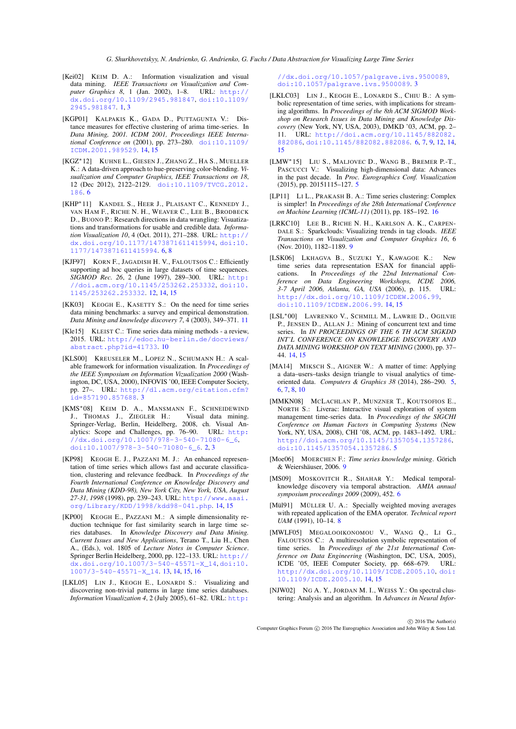- <span id="page-20-0"></span>[Kei02] KEIM D. A.: Information visualization and visual data mining. *IEEE Transactions on Visualization and Computer Graphics 8*, 1 (Jan. 2002), 1–8. URL: [http://](http://dx.doi.org/10.1109/2945.981847) [dx.doi.org/10.1109/2945.981847](http://dx.doi.org/10.1109/2945.981847), [doi:10.1109/](http://dx.doi.org/10.1109/2945.981847) [2945.981847](http://dx.doi.org/10.1109/2945.981847). [1,](#page-1-0) [3](#page-3-0)
- <span id="page-20-22"></span>[KGP01] KALPAKIS K., GADA D., PUTTAGUNTA V.: Distance measures for effective clustering of arima time-series. In *Data Mining, 2001. ICDM 2001, Proceedings IEEE International Conference on* (2001), pp. 273–280. [doi:10.1109/](http://dx.doi.org/10.1109/ICDM.2001.989529) [ICDM.2001.989529](http://dx.doi.org/10.1109/ICDM.2001.989529). [14,](#page-14-1) [15](#page-15-1)
- <span id="page-20-7"></span>[KGZ∗12] KUHNE L., GIESEN J., ZHANG Z., H<sup>A</sup> S., MUELLER K.: A data-driven approach to hue-preserving color-blending. *Visualization and Computer Graphics, IEEE Transactions on 18*, 12 (Dec 2012), 2122–2129. [doi:10.1109/TVCG.2012.](http://dx.doi.org/10.1109/TVCG.2012.186) [186](http://dx.doi.org/10.1109/TVCG.2012.186). [6](#page-6-1)
- <span id="page-20-10"></span>[KHP∗11] KANDEL S., HEER J., PLAISANT C., KENNEDY J., VAN HAM F., RICHE N. H., WEAVER C., LEE B., BRODBECK D., BUONO P.: Research directions in data wrangling: Visuatizations and transformations for usable and credible data. *Information Visualization 10*, 4 (Oct. 2011), 271–288. URL: [http://](http://dx.doi.org/10.1177/1473871611415994) [dx.doi.org/10.1177/1473871611415994](http://dx.doi.org/10.1177/1473871611415994), [doi:10.](http://dx.doi.org/10.1177/1473871611415994) [1177/1473871611415994](http://dx.doi.org/10.1177/1473871611415994). [6,](#page-6-1) [8](#page-8-0)
- <span id="page-20-17"></span>[KJF97] KORN F., JAGADISH H. V., FALOUTSOS C.: Efficiently supporting ad hoc queries in large datasets of time sequences. *SIGMOD Rec. 26*, 2 (June 1997), 289–300. URL: [http:](http://doi.acm.org/10.1145/253262.253332) [//doi.acm.org/10.1145/253262.253332](http://doi.acm.org/10.1145/253262.253332), [doi:10.](http://dx.doi.org/10.1145/253262.253332) [1145/253262.253332](http://dx.doi.org/10.1145/253262.253332). [12,](#page-12-0) [14,](#page-14-1) [15](#page-15-1)
- <span id="page-20-15"></span>[KK03] KEOGH E., KASETTY S.: On the need for time series data mining benchmarks: a survey and empirical demonstration. *Data Mining and knowledge discovery 7*, 4 (2003), 349–371. [11](#page-11-1)
- <span id="page-20-14"></span>[Kle15] KLEIST C.: Time series data mining methods - a review, 2015. URL: [http://edoc.hu-berlin.de/docviews/](http://edoc.hu-berlin.de/docviews/abstract.php?id=41733) [abstract.php?id=41733](http://edoc.hu-berlin.de/docviews/abstract.php?id=41733). [10](#page-10-0)
- <span id="page-20-2"></span>[KLS00] KREUSELER M., LOPEZ N., SCHUMANN H.: A scalable framework for information visualization. In *Proceedings of the IEEE Symposium on Information Vizualization 2000* (Washington, DC, USA, 2000), INFOVIS '00, IEEE Computer Society, pp. 27–. URL: [http://dl.acm.org/citation.cfm?](http://dl.acm.org/citation.cfm?id=857190.857688) [id=857190.857688](http://dl.acm.org/citation.cfm?id=857190.857688). [3](#page-3-0)
- <span id="page-20-1"></span>[KMS∗08] KEIM D. A., MANSMANN F., SCHNEIDEWIND J., THOMAS J., ZIEGLER H.: Springer-Verlag, Berlin, Heidelberg, 2008, ch. Visual Analytics: Scope and Challenges, pp. 76–90. URL: [http:](http://dx.doi.org/10.1007/978-3-540-71080-6_6) [//dx.doi.org/10.1007/978-3-540-71080-6\\_6](http://dx.doi.org/10.1007/978-3-540-71080-6_6), [doi:10.1007/978-3-540-71080-6\\_6](http://dx.doi.org/10.1007/978-3-540-71080-6_6). [2,](#page-2-1) [3](#page-3-0)
- <span id="page-20-21"></span>[KP98] KEOGH E. J., PAZZANI M. J.: An enhanced representation of time series which allows fast and accurate classification, clustering and relevance feedback. In *Proceedings of the Fourth International Conference on Knowledge Discovery and Data Mining (KDD-98), New York City, New York, USA, August 27-31, 1998* (1998), pp. 239–243. URL: [http://www.aaai.](http://www.aaai.org/Library/KDD/1998/kdd98-041.php) [org/Library/KDD/1998/kdd98-041.php](http://www.aaai.org/Library/KDD/1998/kdd98-041.php). [14,](#page-14-1) [15](#page-15-1)
- <span id="page-20-18"></span>[KP00] KEOGH E., PAZZANI M.: A simple dimensionality reduction technique for fast similarity search in large time series databases. In *Knowledge Discovery and Data Mining. Current Issues and New Applications*, Terano T., Liu H., Chen A., (Eds.), vol. 1805 of *Lecture Notes in Computer Science*. Springer Berlin Heidelberg, 2000, pp. 122–133. URL: [http://](http://dx.doi.org/10.1007/3-540-45571-X_14) [dx.doi.org/10.1007/3-540-45571-X\\_14](http://dx.doi.org/10.1007/3-540-45571-X_14), [doi:10.](http://dx.doi.org/10.1007/3-540-45571-X_14) [1007/3-540-45571-X\\_14](http://dx.doi.org/10.1007/3-540-45571-X_14). [13,](#page-13-4) [14,](#page-14-1) [15,](#page-15-1) [16](#page-16-1)
- <span id="page-20-3"></span>[LKL05] LIN J., KEOGH E., LONARDI S.: Visualizing and discovering non-trivial patterns in large time series databases. *Information Visualization 4*, 2 (July 2005), 61–82. URL: [http:](http://dx.doi.org/10.1057/palgrave.ivs.9500089)

[//dx.doi.org/10.1057/palgrave.ivs.9500089](http://dx.doi.org/10.1057/palgrave.ivs.9500089), [doi:10.1057/palgrave.ivs.9500089](http://dx.doi.org/10.1057/palgrave.ivs.9500089). [3](#page-3-0)

- <span id="page-20-8"></span>[LKLC03] LIN J., KEOGH E., LONARDI S., CHIU B.: A symbolic representation of time series, with implications for streaming algorithms. In *Proceedings of the 8th ACM SIGMOD Workshop on Research Issues in Data Mining and Knowledge Discovery* (New York, NY, USA, 2003), DMKD '03, ACM, pp. 2– 11. URL: [http://doi.acm.org/10.1145/882082.](http://doi.acm.org/10.1145/882082.882086) [882086](http://doi.acm.org/10.1145/882082.882086), [doi:10.1145/882082.882086](http://dx.doi.org/10.1145/882082.882086). [6,](#page-6-1) [7,](#page-7-1) [9,](#page-9-0) [12,](#page-12-0) [14,](#page-14-1) [15](#page-15-1)
- <span id="page-20-4"></span>[LMW∗15] LIU S., MALJOVEC D., WANG B., BREMER P.-T., PASCUCCI V.: Visualizing high-dimensional data: Advances in the past decade. In *Proc. Eurographics Conf. Visualization* (2015), pp. 20151115–127. [5](#page-5-1)
- <span id="page-20-24"></span>[LP11] LI L., PRAKASH B. A.: Time series clustering: Complex is simpler! In *Proceedings of the 28th International Conference on Machine Learning (ICML-11)* (2011), pp. 185–192. [16](#page-16-1)
- <span id="page-20-12"></span>[LRKC10] LEE B., RICHE N. H., KARLSON A. K., CARPEN-DALE S.: Sparkclouds: Visualizing trends in tag clouds. *IEEE Transactions on Visualization and Computer Graphics 16*, 6 (Nov. 2010), 1182–1189. [9](#page-9-0)
- <span id="page-20-20"></span>[LSK06] LKHAGVA B., SUZUKI Y., KAWAGOE K.: New time series data representation ESAX for financial applications. In *Proceedings of the 22nd International Conference on Data Engineering Workshops, ICDE 2006, 3-7 April 2006, Atlanta, GA, USA* (2006), p. 115. URL: <http://dx.doi.org/10.1109/ICDEW.2006.99>, [doi:10.1109/ICDEW.2006.99](http://dx.doi.org/10.1109/ICDEW.2006.99). [14,](#page-14-1) [15](#page-15-1)
- <span id="page-20-19"></span>[LSL∗00] LAVRENKO V., SCHMILL M., LAWRIE D., OGILVIE P., JENSEN D., ALLAN J.: Mining of concurrent text and time series. In *IN PROCEEDINGS OF THE 6 TH ACM SIGKDD INT'L CONFERENCE ON KNOWLEDGE DISCOVERY AND DATA MINING WORKSHOP ON TEXT MINING* (2000), pp. 37– 44. [14,](#page-14-1) [15](#page-15-1)
- <span id="page-20-5"></span>[MA14] MIKSCH S., AIGNER W.: A matter of time: Applying a data–users–tasks design triangle to visual analytics of timeoriented data. *Computers & Graphics 38* (2014), 286–290. [5,](#page-5-1) [6,](#page-6-1) [7,](#page-7-1) [8,](#page-8-0) [10](#page-10-0)
- <span id="page-20-6"></span>[MMKN08] MCLACHLAN P., MUNZNER T., KOUTSOFIOS E., NORTH S.: Liverac: Interactive visual exploration of system management time-series data. In *Proceedings of the SIGCHI Conference on Human Factors in Computing Systems* (New York, NY, USA, 2008), CHI '08, ACM, pp. 1483–1492. URL: <http://doi.acm.org/10.1145/1357054.1357286>, [doi:10.1145/1357054.1357286](http://dx.doi.org/10.1145/1357054.1357286). [5](#page-5-1)
- <span id="page-20-13"></span>[Moe06] MOERCHEN F.: *Time series knowledge mining*. Görich & Weiershäuser, 2006. [9](#page-9-0)
- <span id="page-20-9"></span>[MS09] MOSKOVITCH R., SHAHAR Y.: Medical temporalknowledge discovery via temporal abstraction. *AMIA annual symposium proceedings 2009* (2009), 452. [6](#page-6-1)
- <span id="page-20-11"></span>[Mül91] MÜLLER U. A.: Specially weighted moving averages with repeated application of the EMA operator. *Technical report UAM* (1991), 10–14. [8](#page-8-0)
- <span id="page-20-23"></span>[MWLF05] MEGALOOIKONOMOU V., WANG Q., LI G., FALOUTSOS C.: A multiresolution symbolic representation of time series. In *Proceedings of the 21st International Conference on Data Engineering* (Washington, DC, USA, 2005), ICDE '05, IEEE Computer Society, pp. 668–679. URL: <http://dx.doi.org/10.1109/ICDE.2005.10>, [doi:](http://dx.doi.org/10.1109/ICDE.2005.10) [10.1109/ICDE.2005.10](http://dx.doi.org/10.1109/ICDE.2005.10). [14,](#page-14-1) [15](#page-15-1)
- <span id="page-20-16"></span>[NJW02] NG A. Y., JORDAN M. I., WEISS Y.: On spectral clustering: Analysis and an algorithm. In *Advances in Neural Infor-*

 $\circled{c}$  2016 The Author(s) Computer Graphics Forum  $\odot$  2016 The Eurographics Association and John Wiley & Sons Ltd.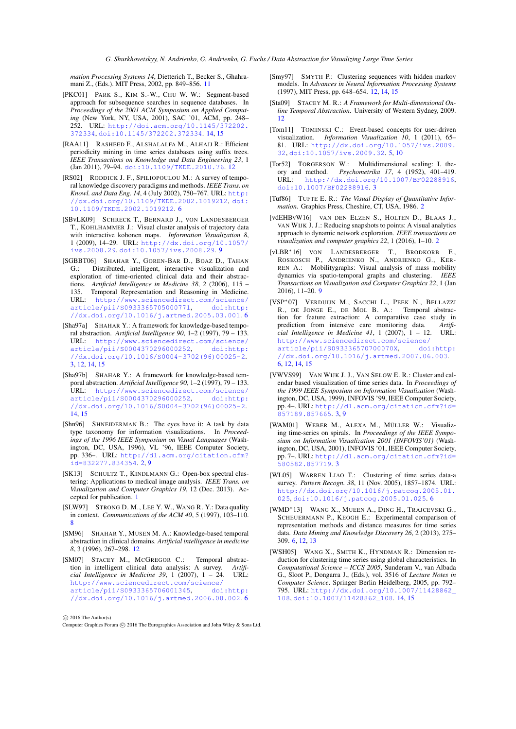*mation Processing Systems 14*, Dietterich T., Becker S., Ghahramani Z., (Eds.). MIT Press, 2002, pp. 849–856. [11](#page-11-1)

- <span id="page-21-22"></span>[PKC01] PARK S., KIM S.-W., CHU W. W.: Segment-based approach for subsequence searches in sequence databases. In *Proceedings of the 2001 ACM Symposium on Applied Computing* (New York, NY, USA, 2001), SAC '01, ACM, pp. 248– 252. URL: http://doi.acm.org/10.1145/3 [372334](http://doi.acm.org/10.1145/372202.372334), [doi:10.1145/372202.372334](http://dx.doi.org/10.1145/372202.372334). [14,](#page-14-1) [15](#page-15-1)
- <span id="page-21-21"></span>[RAA11] RASHEED F., ALSHALALFA M., ALHAJJ R.: Efficient periodicity mining in time series databases using suffix trees. *IEEE Transactions on Knowledge and Data Engineering 23*, 1 (Jan 2011), 79–94. [doi:10.1109/TKDE.2010.76](http://dx.doi.org/10.1109/TKDE.2010.76). [12](#page-12-0)
- <span id="page-21-12"></span>[RS02] RODDICK J. F., SPILIOPOULOU M.: A survey of temporal knowledge discovery paradigms and methods. *IEEE Trans. on Knowl. and Data Eng. 14*, 4 (July 2002), 750–767. URL: [http:](http://dx.doi.org/10.1109/TKDE.2002.1019212) [//dx.doi.org/10.1109/TKDE.2002.1019212](http://dx.doi.org/10.1109/TKDE.2002.1019212), [doi:](http://dx.doi.org/10.1109/TKDE.2002.1019212) [10.1109/TKDE.2002.1019212](http://dx.doi.org/10.1109/TKDE.2002.1019212). [6](#page-6-1)
- <span id="page-21-16"></span>[SBvLK09] SCHRECK T., BERNARD J., VON LANDESBERGER T., KOHLHAMMER J.: Visual cluster analysis of trajectory data with interactive kohonen maps. *Information Visualization 8*, 1 (2009), 14–29. URL: [http://dx.doi.org/10.1057/](http://dx.doi.org/10.1057/ivs.2008.29) [ivs.2008.29](http://dx.doi.org/10.1057/ivs.2008.29), [doi:10.1057/ivs.2008.29](http://dx.doi.org/10.1057/ivs.2008.29). [9](#page-9-0)
- <span id="page-21-14"></span>[SGBBT06] SHAHAR Y., GOREN-BAR D., BOAZ D., TAHAN G.: Distributed, intelligent, interactive visualization and exploration of time-oriented clinical data and their abstractions. *Artificial Intelligence in Medicine 38*, 2 (2006), 115 – 135. Temporal Representation and Reasoning in Medicine. URL: [http://www.sciencedirect.com/science/](http://www.sciencedirect.com/science/article/pii/S0933365705000771) [article/pii/S0933365705000771](http://www.sciencedirect.com/science/article/pii/S0933365705000771), [doi:http:](http://dx.doi.org/http://dx.doi.org/10.1016/j.artmed.2005.03.001) [//dx.doi.org/10.1016/j.artmed.2005.03.001](http://dx.doi.org/http://dx.doi.org/10.1016/j.artmed.2005.03.001). [6](#page-6-1)
- <span id="page-21-6"></span>[Sha97a] SHAHAR Y.: A framework for knowledge-based temporal abstraction. *Artificial Intelligence 90*, 1–2 (1997), 79 – 133. URL: [http://www.sciencedirect.com/science/](http://www.sciencedirect.com/science/article/pii/S0004370296000252) [article/pii/S0004370296000252](http://www.sciencedirect.com/science/article/pii/S0004370296000252), [doi:http:](http://dx.doi.org/http://dx.doi.org/10.1016/S0004-3702(96)00025-2) [//dx.doi.org/10.1016/S0004-3702\(96\)00025-2](http://dx.doi.org/http://dx.doi.org/10.1016/S0004-3702(96)00025-2). [3,](#page-3-0) [12,](#page-12-0) [14,](#page-14-1) [15](#page-15-1)
- <span id="page-21-24"></span>[Sha97b] SHAHAR Y.: A framework for knowledge-based temporal abstraction. *Artificial Intelligence 90*, 1–2 (1997), 79 – 133. URL: [http://www.sciencedirect.com/science/](http://www.sciencedirect.com/science/article/pii/S0004370296000252) [article/pii/S0004370296000252](http://www.sciencedirect.com/science/article/pii/S0004370296000252), [doi:http:](http://dx.doi.org/http://dx.doi.org/10.1016/S0004-3702(96)00025-2) [//dx.doi.org/10.1016/S0004-3702\(96\)00025-2](http://dx.doi.org/http://dx.doi.org/10.1016/S0004-3702(96)00025-2). [14,](#page-14-1) [15](#page-15-1)
- <span id="page-21-2"></span>[Shn96] SHNEIDERMAN B.: The eyes have it: A task by data type taxonomy for information visualizations. In *Proceedings of the 1996 IEEE Symposium on Visual Languages* (Washington, DC, USA, 1996), VL '96, IEEE Computer Society, pp. 336–. URL: [http://dl.acm.org/citation.cfm?](http://dl.acm.org/citation.cfm?id=832277.834354) [id=832277.834354](http://dl.acm.org/citation.cfm?id=832277.834354). [2,](#page-2-1) [9](#page-9-0)
- <span id="page-21-0"></span>[SK13] SCHULTZ T., KINDLMANN G.: Open-box spectral clustering: Applications to medical image analysis. *IEEE Trans. on Visualization and Computer Graphics 19*, 12 (Dec. 2013). Accepted for publication. [1](#page-1-0)
- <span id="page-21-15"></span>[SLW97] STRONG D. M., LEE Y. W., WANG R. Y.: Data quality in context. *Communications of the ACM 40*, 5 (1997), 103–110. [8](#page-8-0)
- <span id="page-21-20"></span>[SM96] SHAHAR Y., MUSEN M. A.: Knowledge-based temporal abstraction in clinical domains. *Artificial intelligence in medicine 8*, 3 (1996), 267–298. [12](#page-12-0)
- <span id="page-21-11"></span>[SM07] STACEY M., MCGREGOR C.: Temporal abstraction in intelligent clinical data analysis: A survey. *Artificial Intelligence in Medicine 39, 1 (2007), 1 – 24.* [http://www.sciencedirect.com/science/](http://www.sciencedirect.com/science/article/pii/S0933365706001345)<br>article/pii/S0933365706001345. doi:http: [article/pii/S0933365706001345](http://www.sciencedirect.com/science/article/pii/S0933365706001345), [//dx.doi.org/10.1016/j.artmed.2006.08.002](http://dx.doi.org/http://dx.doi.org/10.1016/j.artmed.2006.08.002). [6](#page-6-1)
- $\odot$  2016 The Author(s)

Computer Graphics Forum  $\odot$  2016 The Eurographics Association and John Wiley & Sons Ltd.

- <span id="page-21-18"></span>[Smy97] SMYTH P.: Clustering sequences with hidden markov models. In *Advances in Neural Information Processing Systems* (1997), MIT Press, pp. 648–654. [12,](#page-12-0) [14,](#page-14-1) [15](#page-15-1)
- <span id="page-21-19"></span>[Sta09] STACEY M. R.: *A Framework for Multi-dimensional Online Temporal Abstraction*. University of Western Sydney, 2009. [12](#page-12-0)
- <span id="page-21-8"></span>[Tom11] TOMINSKI C.: Event-based concepts for user-driven visualization. *Information Visualization 10*, 1 (2011), 65– 81. URL: [http://dx.doi.org/10.1057/ivs.2009.](http://dx.doi.org/10.1057/ivs.2009.32) [32](http://dx.doi.org/10.1057/ivs.2009.32), [doi:10.1057/ivs.2009.32](http://dx.doi.org/10.1057/ivs.2009.32). [5,](#page-5-1) [10](#page-10-0)
- <span id="page-21-7"></span>[Tor52] TORGERSON W.: Multidimensional scaling: I. theory and method. *Psychometrika 17*, 4 (1952), 401–419. URL: <http://dx.doi.org/10.1007/BF02288916>, [doi:10.1007/BF02288916](http://dx.doi.org/10.1007/BF02288916). [3](#page-3-0)
- <span id="page-21-3"></span>[Tuf86] TUFTE E. R.: *The Visual Display of Quantitative Information*. Graphics Press, Cheshire, CT, USA, 1986. [2](#page-2-1)
- <span id="page-21-1"></span>[vdEHBvW16] VAN DEN ELZEN S., HOLTEN D., BLAAS J., VAN WIJK J. J.: Reducing snapshots to points: A visual analytics approach to dynamic network exploration. *IEEE transactions on visualization and computer graphics 22*, 1 (2016), 1–10. [2](#page-2-1)
- <span id="page-21-17"></span>[vLBR∗16] VON LANDESBERGER T., BRODKORB F., ROSKOSCH P., ANDRIENKO N., ANDRIENKO G., KER-REN A.: Mobilitygraphs: Visual analysis of mass mobility dynamics via spatio-temporal graphs and clustering. *IEEE Transactions on Visualization and Computer Graphics 22*, 1 (Jan 2016), 11–20. [9](#page-9-0)
- <span id="page-21-13"></span>[VSP∗07] VERDUIJN M., SACCHI L., PEEK N., BELLAZZI R., DE JONGE E., DE MOL B. A.: Temporal abstraction for feature extraction: A comparative case study in prediction from intensive care monitoring data. Artifiprediction from intensive care monitoring data. *cial Intelligence in Medicine 41*, 1 (2007), 1 – 12. URL: [http://www.sciencedirect.com/science/](http://www.sciencedirect.com/science/article/pii/S093336570700070X) [article/pii/S093336570700070X](http://www.sciencedirect.com/science/article/pii/S093336570700070X), [doi:http:](http://dx.doi.org/http://dx.doi.org/10.1016/j.artmed.2007.06.003) [//dx.doi.org/10.1016/j.artmed.2007.06.003](http://dx.doi.org/http://dx.doi.org/10.1016/j.artmed.2007.06.003). [6,](#page-6-1) [12,](#page-12-0) [14,](#page-14-1) [15](#page-15-1)
- <span id="page-21-4"></span>[VWVS99] VAN WIJK J. J., VAN SELOW E. R.: Cluster and calendar based visualization of time series data. In *Proceedings of the 1999 IEEE Symposium on Information Visualization* (Washington, DC, USA, 1999), INFOVIS '99, IEEE Computer Society, pp. 4–. URL: [http://dl.acm.org/citation.cfm?id=](http://dl.acm.org/citation.cfm?id=857189.857665) [857189.857665](http://dl.acm.org/citation.cfm?id=857189.857665). [3,](#page-3-0) [9](#page-9-0)
- <span id="page-21-5"></span>[WAM01] WEBER M., ALEXA M., MÜLLER W.: Visualizing time-series on spirals. In *Proceedings of the IEEE Symposium on Information Visualization 2001 (INFOVIS'01)* (Washington, DC, USA, 2001), INFOVIS '01, IEEE Computer Society, pp. 7–. URL: [http://dl.acm.org/citation.cfm?id=](http://dl.acm.org/citation.cfm?id=580582.857719) [580582.857719](http://dl.acm.org/citation.cfm?id=580582.857719). [3](#page-3-0)
- <span id="page-21-9"></span>[WL05] WARREN LIAO T.: Clustering of time series data-a survey. *Pattern Recogn. 38*, 11 (Nov. 2005), 1857–1874. URL: [http://dx.doi.org/10.1016/j.patcog.2005.01.](http://dx.doi.org/10.1016/j.patcog.2005.01.025) [025](http://dx.doi.org/10.1016/j.patcog.2005.01.025), [doi:10.1016/j.patcog.2005.01.025](http://dx.doi.org/10.1016/j.patcog.2005.01.025). [6](#page-6-1)
- <span id="page-21-10"></span>[WMD∗13] WANG X., MUEEN A., DING H., TRAJCEVSKI G., SCHEUERMANN P., KEOGH E.: Experimental comparison of representation methods and distance measures for time series data. *Data Mining and Knowledge Discovery 26*, 2 (2013), 275– 309. [6,](#page-6-1) [12,](#page-12-0) [13](#page-13-4)
- <span id="page-21-23"></span>[WSH05] WANG X., SMITH K., HYNDMAN R.: Dimension reduction for clustering time series using global characteristics. In *Computational Science – ICCS 2005*, Sunderam V., van Albada G., Sloot P., Dongarra J., (Eds.), vol. 3516 of *Lecture Notes in Computer Science*. Springer Berlin Heidelberg, 2005, pp. 792– 795. URL: [http://dx.doi.org/10.1007/11428862\\_](http://dx.doi.org/10.1007/11428862_108) [108](http://dx.doi.org/10.1007/11428862_108), [doi:10.1007/11428862\\_108](http://dx.doi.org/10.1007/11428862_108). [14,](#page-14-1) [15](#page-15-1)